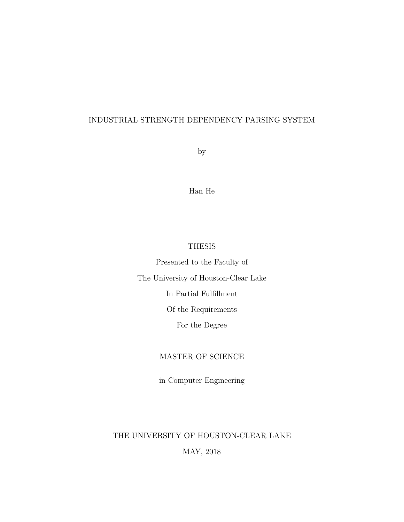## INDUSTRIAL STRENGTH DEPENDENCY PARSING SYSTEM

by

Han He

## THESIS

Presented to the Faculty of The University of Houston-Clear Lake In Partial Fulfillment Of the Requirements For the Degree

## MASTER OF SCIENCE

in Computer Engineering

## THE UNIVERSITY OF HOUSTON-CLEAR LAKE

## MAY, 2018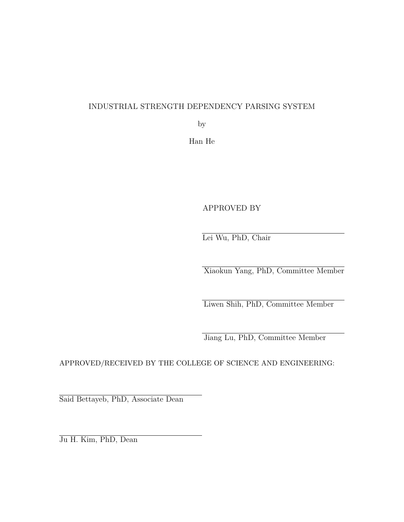## INDUSTRIAL STRENGTH DEPENDENCY PARSING SYSTEM

by

Han He

APPROVED BY

Lei Wu, PhD, Chair

Xiaokun Yang, PhD, Committee Member

Liwen Shih, PhD, Committee Member

Jiang Lu, PhD, Committee Member

APPROVED/RECEIVED BY THE COLLEGE OF SCIENCE AND ENGINEERING:

Said Bettayeb, PhD, Associate Dean

Ju H. Kim, PhD, Dean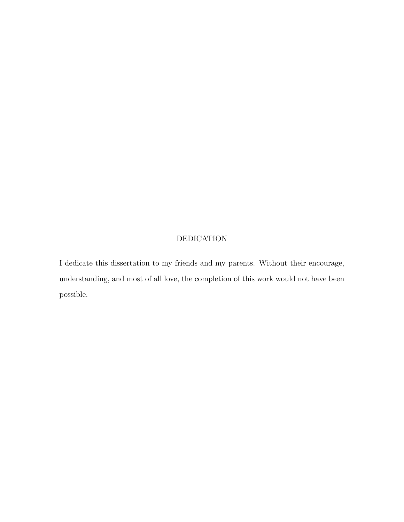## DEDICATION

I dedicate this dissertation to my friends and my parents. Without their encourage, understanding, and most of all love, the completion of this work would not have been possible.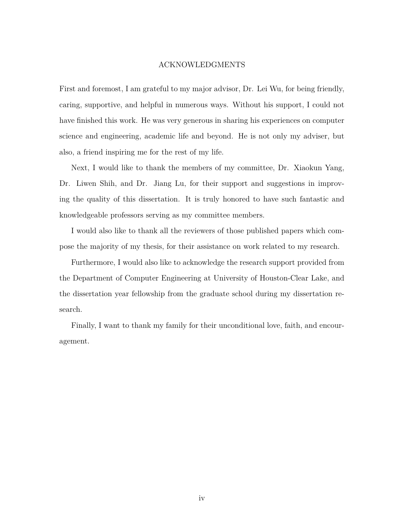#### ACKNOWLEDGMENTS

First and foremost, I am grateful to my major advisor, Dr. Lei Wu, for being friendly, caring, supportive, and helpful in numerous ways. Without his support, I could not have finished this work. He was very generous in sharing his experiences on computer science and engineering, academic life and beyond. He is not only my adviser, but also, a friend inspiring me for the rest of my life.

Next, I would like to thank the members of my committee, Dr. Xiaokun Yang, Dr. Liwen Shih, and Dr. Jiang Lu, for their support and suggestions in improving the quality of this dissertation. It is truly honored to have such fantastic and knowledgeable professors serving as my committee members.

I would also like to thank all the reviewers of those published papers which compose the majority of my thesis, for their assistance on work related to my research.

Furthermore, I would also like to acknowledge the research support provided from the Department of Computer Engineering at University of Houston-Clear Lake, and the dissertation year fellowship from the graduate school during my dissertation research.

Finally, I want to thank my family for their unconditional love, faith, and encouragement.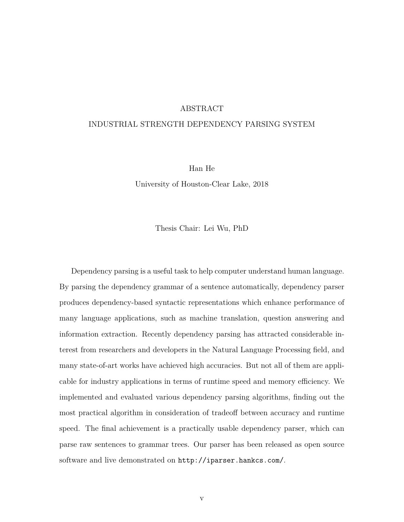#### ABSTRACT

#### INDUSTRIAL STRENGTH DEPENDENCY PARSING SYSTEM

Han He

University of Houston-Clear Lake, 2018

Thesis Chair: Lei Wu, PhD

Dependency parsing is a useful task to help computer understand human language. By parsing the dependency grammar of a sentence automatically, dependency parser produces dependency-based syntactic representations which enhance performance of many language applications, such as machine translation, question answering and information extraction. Recently dependency parsing has attracted considerable interest from researchers and developers in the Natural Language Processing field, and many state-of-art works have achieved high accuracies. But not all of them are applicable for industry applications in terms of runtime speed and memory efficiency. We implemented and evaluated various dependency parsing algorithms, finding out the most practical algorithm in consideration of tradeoff between accuracy and runtime speed. The final achievement is a practically usable dependency parser, which can parse raw sentences to grammar trees. Our parser has been released as open source software and live demonstrated on http://iparser.hankcs.com/.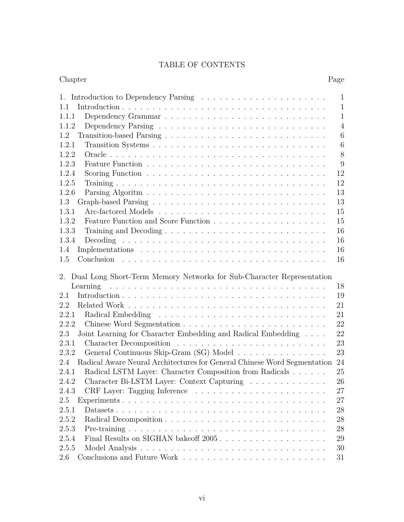## TABLE OF CONTENTS

| Chapter                                                                                                                                                                                                         | Page            |
|-----------------------------------------------------------------------------------------------------------------------------------------------------------------------------------------------------------------|-----------------|
| 1.                                                                                                                                                                                                              | $\mathbf{1}$    |
| 1.1                                                                                                                                                                                                             | $\mathbf{1}$    |
| 1.1.1                                                                                                                                                                                                           | $\mathbf{1}$    |
| 1.1.2                                                                                                                                                                                                           | $\overline{4}$  |
| 1.2                                                                                                                                                                                                             | $6\phantom{.}6$ |
| 1.2.1                                                                                                                                                                                                           | 6               |
| 1.2.2                                                                                                                                                                                                           | 8               |
| 1.2.3                                                                                                                                                                                                           | 9               |
| 1.2.4                                                                                                                                                                                                           | 12              |
| 1.2.5                                                                                                                                                                                                           | 12              |
| 1.2.6                                                                                                                                                                                                           | 13              |
| 1.3                                                                                                                                                                                                             | 13              |
| 1.3.1                                                                                                                                                                                                           | 15              |
| 1.3.2                                                                                                                                                                                                           | 15              |
| 1.3.3                                                                                                                                                                                                           | 16              |
| 1.3.4                                                                                                                                                                                                           | 16              |
| 1.4                                                                                                                                                                                                             | 16              |
| 1.5                                                                                                                                                                                                             | 16              |
| Dual Long Short-Term Memory Networks for Sub-Character Representation<br>2.<br>.<br>The contract of the contract of the contract of the contract of the contract of the contract of the contract of<br>Learning | 18              |
| 2.1                                                                                                                                                                                                             | 19              |
| 2.2                                                                                                                                                                                                             | 21              |
| 2.2.1                                                                                                                                                                                                           | 21              |
| 2.2.2                                                                                                                                                                                                           | 22              |
| Joint Learning for Character Embedding and Radical Embedding $\ldots$ .<br>2.3                                                                                                                                  | 22              |
| 2.3.1                                                                                                                                                                                                           | 23              |
| 2.3.2<br>General Continuous Skip-Gram (SG) Model                                                                                                                                                                | 23              |
| Radical Aware Neural Architectures for General Chinese Word Segmentation<br>2.4                                                                                                                                 | 24              |
| 2.4.1<br>Radical LSTM Layer: Character Composition from Radicals                                                                                                                                                | 25              |
| Character Bi-LSTM Layer: Context Capturing<br>2.4.2                                                                                                                                                             | 26              |
| 2.4.3                                                                                                                                                                                                           | 27              |
| 2.5                                                                                                                                                                                                             | 27              |
| 2.5.1                                                                                                                                                                                                           | 28              |
| 2.5.2                                                                                                                                                                                                           | 28              |
| 2.5.3                                                                                                                                                                                                           | 28              |
| 2.5.4                                                                                                                                                                                                           | 29              |
| 2.5.5                                                                                                                                                                                                           | 30              |
| 2.6                                                                                                                                                                                                             | 31              |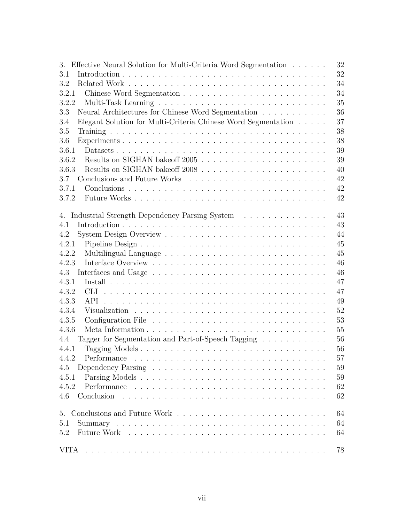| Effective Neural Solution for Multi-Criteria Word Segmentation<br>3. | 32 |
|----------------------------------------------------------------------|----|
| 3.1                                                                  | 32 |
| 3.2                                                                  | 34 |
| 3.2.1                                                                | 34 |
| 3.2.2                                                                | 35 |
| 3.3<br>Neural Architectures for Chinese Word Segmentation            | 36 |
| Elegant Solution for Multi-Criteria Chinese Word Segmentation<br>3.4 | 37 |
| 3.5                                                                  | 38 |
| 3.6                                                                  | 38 |
| 3.6.1                                                                | 39 |
| 3.6.2                                                                | 39 |
| 3.6.3                                                                | 40 |
| 3.7                                                                  | 42 |
| 3.7.1                                                                | 42 |
| 3.7.2                                                                | 42 |
|                                                                      |    |
| Industrial Strength Dependency Parsing System<br>4.                  | 43 |
| 4.1                                                                  | 43 |
| 4.2                                                                  | 44 |
| 4.2.1                                                                | 45 |
| 4.2.2                                                                | 45 |
| 4.2.3                                                                | 46 |
| 4.3                                                                  | 46 |
| 4.3.1                                                                | 47 |
| 4.3.2                                                                | 47 |
| 4.3.3                                                                | 49 |
| 4.3.4                                                                | 52 |
| 4.3.5                                                                | 53 |
| 4.3.6                                                                | 55 |
| Tagger for Segmentation and Part-of-Speech Tagging<br>4.4            | 56 |
| 4.4.1                                                                | 56 |
| 4.4.2<br>Performance                                                 | 57 |
| 4.5                                                                  | 59 |
| 4.5.1                                                                | 59 |
| 4.5.2                                                                | 62 |
| Conclusion<br>4.6                                                    | 62 |
| 5.                                                                   | 64 |
| 5.1                                                                  | 64 |
| 5.2                                                                  | 64 |
| <b>VITA</b>                                                          | 78 |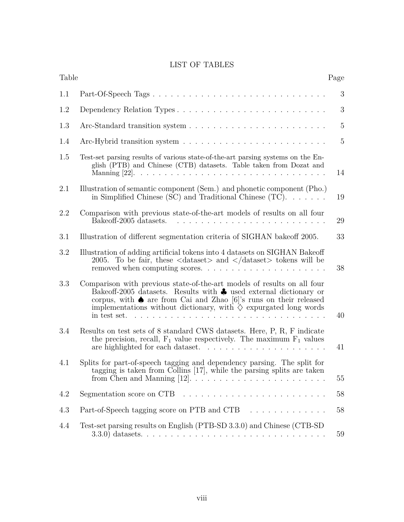## LIST OF TABLES

| Table |                                                                                                                                                                                                                                                                                                                                          | Page           |
|-------|------------------------------------------------------------------------------------------------------------------------------------------------------------------------------------------------------------------------------------------------------------------------------------------------------------------------------------------|----------------|
| 1.1   | Part-Of-Speech Tags                                                                                                                                                                                                                                                                                                                      | 3              |
| 1.2   | Dependency Relation Types                                                                                                                                                                                                                                                                                                                | 3              |
| 1.3   |                                                                                                                                                                                                                                                                                                                                          | $5\,$          |
| 1.4   |                                                                                                                                                                                                                                                                                                                                          | $\overline{5}$ |
| 1.5   | Test-set parsing results of various state-of-the-art parsing systems on the En-<br>glish (PTB) and Chinese (CTB) datasets. Table taken from Dozat and                                                                                                                                                                                    | 14             |
| 2.1   | Illustration of semantic component (Sem.) and phonetic component (Pho.)<br>in Simplified Chinese (SC) and Traditional Chinese (TC). $\dots$                                                                                                                                                                                              | 19             |
| 2.2   | Comparison with previous state-of-the-art models of results on all four<br>Bake off-2005 datasets.                                                                                                                                                                                                                                       | 29             |
| 3.1   | Illustration of different segmentation criteria of SIGHAN bake of 2005.                                                                                                                                                                                                                                                                  | 33             |
| 3.2   | Illustration of adding artificial tokens into 4 datasets on SIGHAN Bakeoff<br>2005. To be fair, these $\langle$ dataset $\rangle$ and $\langle$ /dataset $\rangle$ tokens will be<br>removed when computing scores                                                                                                                       | 38             |
| 3.3   | Comparison with previous state-of-the-art models of results on all four<br>Bake off-2005 datasets. Results with $\clubsuit$ used external dictionary or<br>corpus, with $\spadesuit$ are from Cai and Zhao [6]'s runs on their released<br>implementations without dictionary, with $\diamondsuit$ expurgated long words<br>in test set. | 40             |
| 3.4   | Results on test sets of 8 standard CWS datasets. Here, P, R, F indicate<br>the precision, recall, $F_1$ value respectively. The maximum $F_1$ values                                                                                                                                                                                     | 41             |
| 4.1   | Splits for part-of-speech tagging and dependency parsing. The split for<br>tagging is taken from Collins [17], while the parsing splits are taken                                                                                                                                                                                        | 55             |
| 4.2   | Segmentation score on CTB $\ldots \ldots \ldots \ldots \ldots \ldots \ldots \ldots$                                                                                                                                                                                                                                                      | 58             |
| 4.3   | Part-of-Speech tagging score on PTB and CTB                                                                                                                                                                                                                                                                                              | 58             |
| 4.4   | Test-set parsing results on English (PTB-SD 3.3.0) and Chinese (CTB-SD)                                                                                                                                                                                                                                                                  | 59             |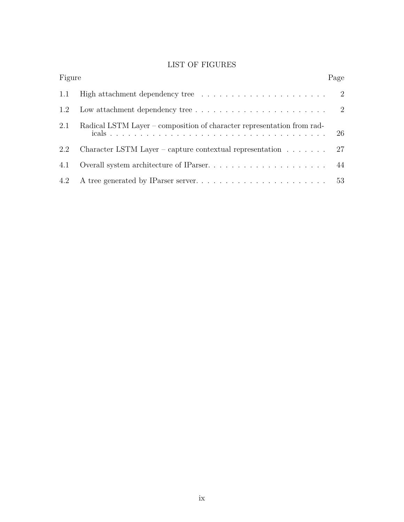## LIST OF FIGURES

| Figure |                                                                                     | Page |
|--------|-------------------------------------------------------------------------------------|------|
| 1.1    |                                                                                     |      |
| 1.2    | Low attachment dependency tree $\ldots \ldots \ldots \ldots \ldots \ldots \ldots 2$ |      |
| 2.1    | Radical LSTM Layer – composition of character representation from rad-              | 26   |
| 2.2    | Character LSTM Layer – capture contextual representation $\ldots \ldots$ 27         |      |
| 4.1    |                                                                                     |      |
|        |                                                                                     |      |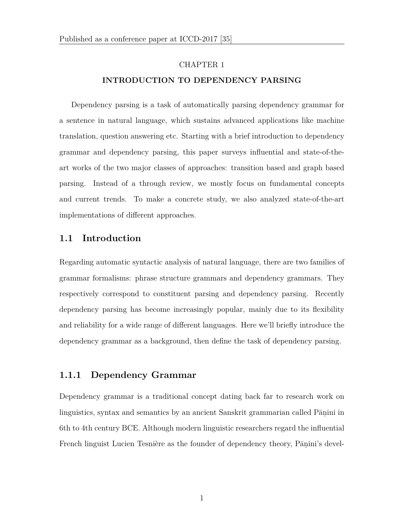#### CHAPTER 1

#### **INTRODUCTION TO DEPENDENCY PARSING**

Dependency parsing is a task of automatically parsing dependency grammar for a sentence in natural language, which sustains advanced applications like machine translation, question answering etc. Starting with a brief introduction to dependency grammar and dependency parsing, this paper surveys influential and state-of-theart works of the two major classes of approaches: transition based and graph based parsing. Instead of a through review, we mostly focus on fundamental concepts and current trends. To make a concrete study, we also analyzed state-of-the-art implementations of different approaches.

## **1.1 Introduction**

Regarding automatic syntactic analysis of natural language, there are two families of grammar formalisms: phrase structure grammars and dependency grammars. They respectively correspond to constituent parsing and dependency parsing. Recently dependency parsing has become increasingly popular, mainly due to its flexibility and reliability for a wide range of different languages. Here we'll briefly introduce the dependency grammar as a background, then define the task of dependency parsing.

## **1.1.1 Dependency Grammar**

Dependency grammar is a traditional concept dating back far to research work on linguistics, syntax and semantics by an ancient Sanskrit grammarian called Pāṇini in 6th to 4th century BCE. Although modern linguistic researchers regard the influential French linguist Lucien Tesnière as the founder of dependency theory, Pānini's devel-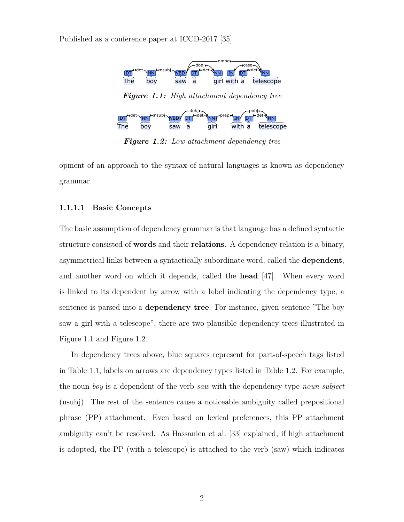

*Figure 1.2: Low attachment dependency tree*

opment of an approach to the syntax of natural languages is known as dependency grammar.

#### **1.1.1.1 Basic Concepts**

The basic assumption of dependency grammar is that language has a defined syntactic structure consisted of **words** and their **relations**. A dependency relation is a binary, asymmetrical links between a syntactically subordinate word, called the **dependent**, and another word on which it depends, called the **head** [47]. When every word is linked to its dependent by arrow with a label indicating the dependency type, a sentence is parsed into a **dependency tree**. For instance, given sentence "The boy saw a girl with a telescope", there are two plausible dependency trees illustrated in Figure 1.1 and Figure 1.2.

In dependency trees above, blue squares represent for part-of-speech tags listed in Table 1.1, labels on arrows are dependency types listed in Table 1.2. For example, the noun *boy* is a dependent of the verb *saw* with the dependency type *noun subject* (nsubj). The rest of the sentence cause a noticeable ambiguity called prepositional phrase (PP) attachment. Even based on lexical preferences, this PP attachment ambiguity can't be resolved. As Hassanien et al. [33] explained, if high attachment is adopted, the PP (with a telescope) is attached to the verb (saw) which indicates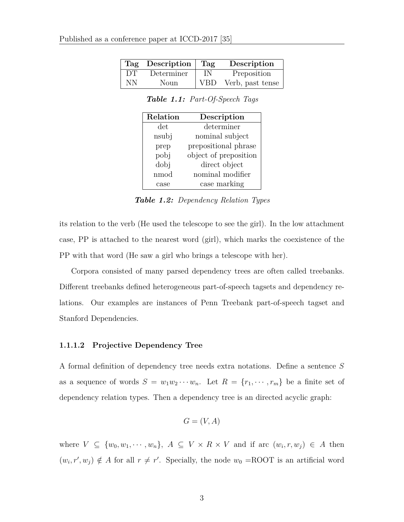|    | Tag Description | Tag        | Description      |
|----|-----------------|------------|------------------|
| DТ | Determiner      | IN         | Preposition      |
| NΝ | Noun            | <b>VBD</b> | Verb, past tense |

*Table 1.1: Part-Of-Speech Tags*

| Relation | Description           |
|----------|-----------------------|
| det.     | determiner            |
| nsubj    | nominal subject       |
| prep     | prepositional phrase  |
| pobj     | object of preposition |
| dobj     | direct object         |
| nmod     | nominal modifier      |
| case     | case marking          |

*Table 1.2: Dependency Relation Types*

its relation to the verb (He used the telescope to see the girl). In the low attachment case, PP is attached to the nearest word (girl), which marks the coexistence of the PP with that word (He saw a girl who brings a telescope with her).

Corpora consisted of many parsed dependency trees are often called treebanks. Different treebanks defined heterogeneous part-of-speech tagsets and dependency relations. Our examples are instances of Penn Treebank part-of-speech tagset and Stanford Dependencies.

#### **1.1.1.2 Projective Dependency Tree**

A formal definition of dependency tree needs extra notations. Define a sentence *S* as a sequence of words  $S = w_1w_2 \cdots w_n$ . Let  $R = \{r_1, \cdots, r_m\}$  be a finite set of dependency relation types. Then a dependency tree is an directed acyclic graph:

$$
G = (V, A)
$$

where  $V \subseteq \{w_0, w_1, \dots, w_n\}, A \subseteq V \times R \times V$  and if arc  $(w_i, r, w_j) \in A$  then  $(w_i, r', w_j) \notin A$  for all  $r \neq r'$ . Specially, the node  $w_0 = \text{ROOT}$  is an artificial word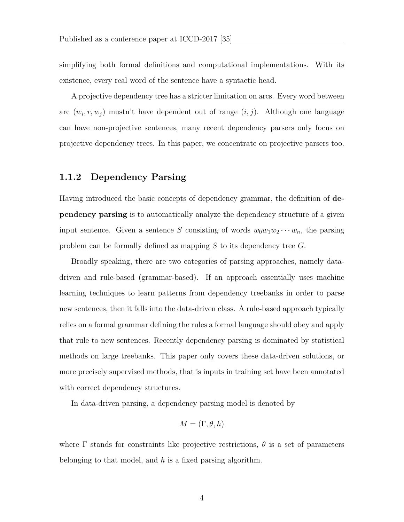simplifying both formal definitions and computational implementations. With its existence, every real word of the sentence have a syntactic head.

A projective dependency tree has a stricter limitation on arcs. Every word between arc  $(w_i, r, w_j)$  mustn't have dependent out of range  $(i, j)$ . Although one language can have non-projective sentences, many recent dependency parsers only focus on projective dependency trees. In this paper, we concentrate on projective parsers too.

## **1.1.2 Dependency Parsing**

Having introduced the basic concepts of dependency grammar, the definition of **dependency parsing** is to automatically analyze the dependency structure of a given input sentence. Given a sentence *S* consisting of words  $w_0w_1w_2\cdots w_n$ , the parsing problem can be formally defined as mapping *S* to its dependency tree *G*.

Broadly speaking, there are two categories of parsing approaches, namely datadriven and rule-based (grammar-based). If an approach essentially uses machine learning techniques to learn patterns from dependency treebanks in order to parse new sentences, then it falls into the data-driven class. A rule-based approach typically relies on a formal grammar defining the rules a formal language should obey and apply that rule to new sentences. Recently dependency parsing is dominated by statistical methods on large treebanks. This paper only covers these data-driven solutions, or more precisely supervised methods, that is inputs in training set have been annotated with correct dependency structures.

In data-driven parsing, a dependency parsing model is denoted by

$$
M = (\Gamma, \theta, h)
$$

where  $\Gamma$  stands for constraints like projective restrictions,  $\theta$  is a set of parameters belonging to that model, and *h* is a fixed parsing algorithm.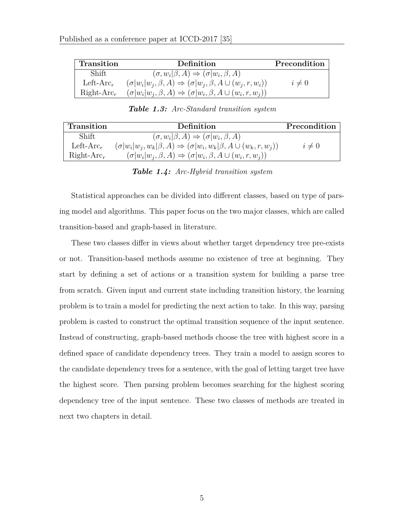| <b>Transition</b>     | Definition                                                                               | Precondition |
|-----------------------|------------------------------------------------------------------------------------------|--------------|
| Shift                 | $(\sigma, w_i   \beta, A) \Rightarrow (\sigma   w_i, \beta, A)$                          |              |
| Left-Arc <sub>r</sub> | $(\sigma   w_i   w_i, \beta, A) \Rightarrow (\sigma   w_i, \beta, A \cup (w_i, r, w_i))$ | $i \neq 0$   |
| $Right-Arc_r$         | $(\sigma   w_i   w_i, \beta, A) \Rightarrow (\sigma   w_i, \beta, A \cup (w_i, r, w_i))$ |              |

| Transition            | Definition                                                                                       | Precondition |
|-----------------------|--------------------------------------------------------------------------------------------------|--------------|
| Shift                 | $(\sigma, w_i   \beta, A) \Rightarrow (\sigma   w_i, \beta, A)$                                  |              |
| Left-Arc <sub>r</sub> | $(\sigma  w_i w_j, w_k   \beta, A) \Rightarrow (\sigma  w_i, w_k   \beta, A \cup (w_k, r, w_i))$ | $i \neq 0$   |
| $Right-Arc_r$         | $(\sigma   w_i   w_i, \beta, A) \Rightarrow (\sigma   w_i, \beta, A \cup (w_i, r, w_i))$         |              |

*Table 1.3: Arc-Standard transition system*

*Table 1.4: Arc-Hybrid transition system*

Statistical approaches can be divided into different classes, based on type of parsing model and algorithms. This paper focus on the two major classes, which are called transition-based and graph-based in literature.

These two classes differ in views about whether target dependency tree pre-exists or not. Transition-based methods assume no existence of tree at beginning. They start by defining a set of actions or a transition system for building a parse tree from scratch. Given input and current state including transition history, the learning problem is to train a model for predicting the next action to take. In this way, parsing problem is casted to construct the optimal transition sequence of the input sentence. Instead of constructing, graph-based methods choose the tree with highest score in a defined space of candidate dependency trees. They train a model to assign scores to the candidate dependency trees for a sentence, with the goal of letting target tree have the highest score. Then parsing problem becomes searching for the highest scoring dependency tree of the input sentence. These two classes of methods are treated in next two chapters in detail.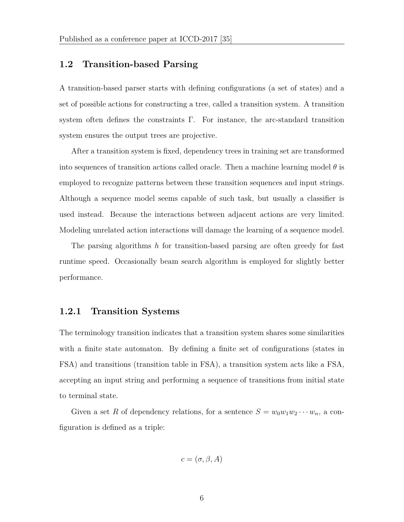## **1.2 Transition-based Parsing**

A transition-based parser starts with defining configurations (a set of states) and a set of possible actions for constructing a tree, called a transition system. A transition system often defines the constraints  $\Gamma$ . For instance, the arc-standard transition system ensures the output trees are projective.

After a transition system is fixed, dependency trees in training set are transformed into sequences of transition actions called oracle. Then a machine learning model  $\theta$  is employed to recognize patterns between these transition sequences and input strings. Although a sequence model seems capable of such task, but usually a classifier is used instead. Because the interactions between adjacent actions are very limited. Modeling unrelated action interactions will damage the learning of a sequence model.

The parsing algorithms *h* for transition-based parsing are often greedy for fast runtime speed. Occasionally beam search algorithm is employed for slightly better performance.

## **1.2.1 Transition Systems**

The terminology transition indicates that a transition system shares some similarities with a finite state automaton. By defining a finite set of configurations (states in FSA) and transitions (transition table in FSA), a transition system acts like a FSA, accepting an input string and performing a sequence of transitions from initial state to terminal state.

Given a set R of dependency relations, for a sentence  $S = w_0w_1w_2 \cdots w_n$ , a configuration is defined as a triple:

$$
c = (\sigma, \beta, A)
$$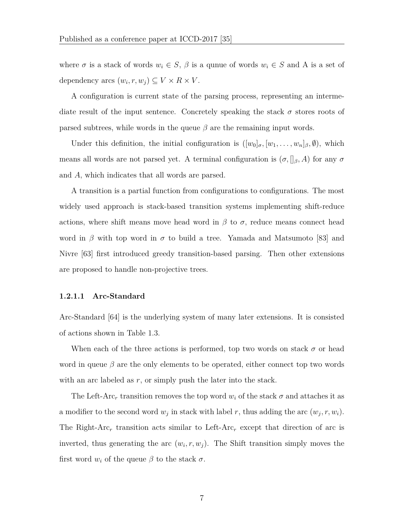where  $\sigma$  is a stack of words  $w_i \in S$ ,  $\beta$  is a qunue of words  $w_i \in S$  and A is a set of dependency arcs  $(w_i, r, w_j) \subseteq V \times R \times V$ .

A configuration is current state of the parsing process, representing an intermediate result of the input sentence. Concretely speaking the stack *σ* stores roots of parsed subtrees, while words in the queue  $\beta$  are the remaining input words.

Under this definition, the initial configuration is  $([w_0]_{\sigma}, [w_1, \ldots, w_n]_{\beta}, \emptyset)$ , which means all words are not parsed yet. A terminal configuration is  $(\sigma, \parallel_{\beta}, A)$  for any  $\sigma$ and *A*, which indicates that all words are parsed.

A transition is a partial function from configurations to configurations. The most widely used approach is stack-based transition systems implementing shift-reduce actions, where shift means move head word in  $\beta$  to  $\sigma$ , reduce means connect head word in  $\beta$  with top word in  $\sigma$  to build a tree. Yamada and Matsumoto [83] and Nivre [63] first introduced greedy transition-based parsing. Then other extensions are proposed to handle non-projective trees.

#### **1.2.1.1 Arc-Standard**

Arc-Standard [64] is the underlying system of many later extensions. It is consisted of actions shown in Table 1.3.

When each of the three actions is performed, top two words on stack  $\sigma$  or head word in queue *β* are the only elements to be operated, either connect top two words with an arc labeled as *r*, or simply push the later into the stack.

The Left-Arc<sub>r</sub> transition removes the top word  $w_i$  of the stack  $\sigma$  and attaches it as a modifier to the second word  $w_j$  in stack with label *r*, thus adding the arc  $(w_j, r, w_i)$ . The Right-Arc*<sup>r</sup>* transition acts similar to Left-Arc*<sup>r</sup>* except that direction of arc is inverted, thus generating the arc  $(w_i, r, w_j)$ . The Shift transition simply moves the first word  $w_i$  of the queue  $\beta$  to the stack  $\sigma$ .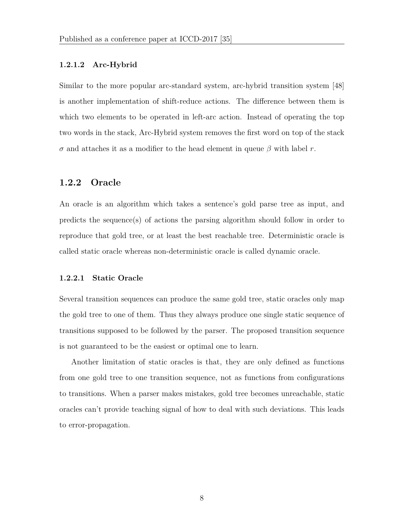#### **1.2.1.2 Arc-Hybrid**

Similar to the more popular arc-standard system, arc-hybrid transition system [48] is another implementation of shift-reduce actions. The difference between them is which two elements to be operated in left-arc action. Instead of operating the top two words in the stack, Arc-Hybrid system removes the first word on top of the stack *σ* and attaches it as a modifier to the head element in queue *β* with label *r*.

## **1.2.2 Oracle**

An oracle is an algorithm which takes a sentence's gold parse tree as input, and predicts the sequence(s) of actions the parsing algorithm should follow in order to reproduce that gold tree, or at least the best reachable tree. Deterministic oracle is called static oracle whereas non-deterministic oracle is called dynamic oracle.

#### **1.2.2.1 Static Oracle**

Several transition sequences can produce the same gold tree, static oracles only map the gold tree to one of them. Thus they always produce one single static sequence of transitions supposed to be followed by the parser. The proposed transition sequence is not guaranteed to be the easiest or optimal one to learn.

Another limitation of static oracles is that, they are only defined as functions from one gold tree to one transition sequence, not as functions from configurations to transitions. When a parser makes mistakes, gold tree becomes unreachable, static oracles can't provide teaching signal of how to deal with such deviations. This leads to error-propagation.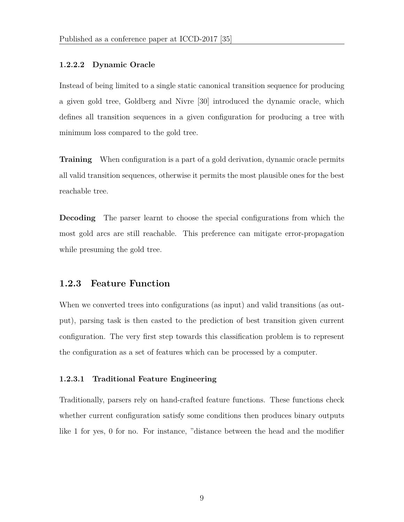#### **1.2.2.2 Dynamic Oracle**

Instead of being limited to a single static canonical transition sequence for producing a given gold tree, Goldberg and Nivre [30] introduced the dynamic oracle, which defines all transition sequences in a given configuration for producing a tree with minimum loss compared to the gold tree.

**Training** When configuration is a part of a gold derivation, dynamic oracle permits all valid transition sequences, otherwise it permits the most plausible ones for the best reachable tree.

**Decoding** The parser learnt to choose the special configurations from which the most gold arcs are still reachable. This preference can mitigate error-propagation while presuming the gold tree.

## **1.2.3 Feature Function**

When we converted trees into configurations (as input) and valid transitions (as output), parsing task is then casted to the prediction of best transition given current configuration. The very first step towards this classification problem is to represent the configuration as a set of features which can be processed by a computer.

#### **1.2.3.1 Traditional Feature Engineering**

Traditionally, parsers rely on hand-crafted feature functions. These functions check whether current configuration satisfy some conditions then produces binary outputs like 1 for yes, 0 for no. For instance, "distance between the head and the modifier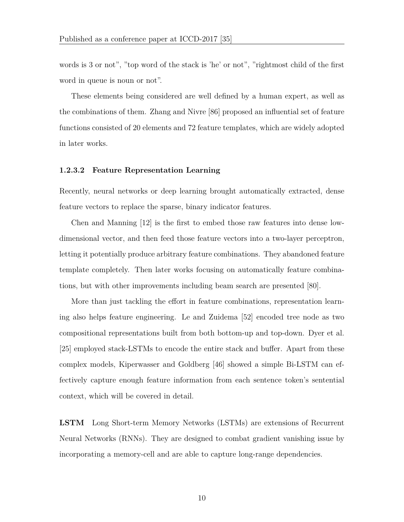words is 3 or not", "top word of the stack is 'he' or not", "rightmost child of the first word in queue is noun or not".

These elements being considered are well defined by a human expert, as well as the combinations of them. Zhang and Nivre [86] proposed an influential set of feature functions consisted of 20 elements and 72 feature templates, which are widely adopted in later works.

#### **1.2.3.2 Feature Representation Learning**

Recently, neural networks or deep learning brought automatically extracted, dense feature vectors to replace the sparse, binary indicator features.

Chen and Manning [12] is the first to embed those raw features into dense lowdimensional vector, and then feed those feature vectors into a two-layer perceptron, letting it potentially produce arbitrary feature combinations. They abandoned feature template completely. Then later works focusing on automatically feature combinations, but with other improvements including beam search are presented [80].

More than just tackling the effort in feature combinations, representation learning also helps feature engineering. Le and Zuidema [52] encoded tree node as two compositional representations built from both bottom-up and top-down. Dyer et al. [25] employed stack-LSTMs to encode the entire stack and buffer. Apart from these complex models, Kiperwasser and Goldberg [46] showed a simple Bi-LSTM can effectively capture enough feature information from each sentence token's sentential context, which will be covered in detail.

**LSTM** Long Short-term Memory Networks (LSTMs) are extensions of Recurrent Neural Networks (RNNs). They are designed to combat gradient vanishing issue by incorporating a memory-cell and are able to capture long-range dependencies.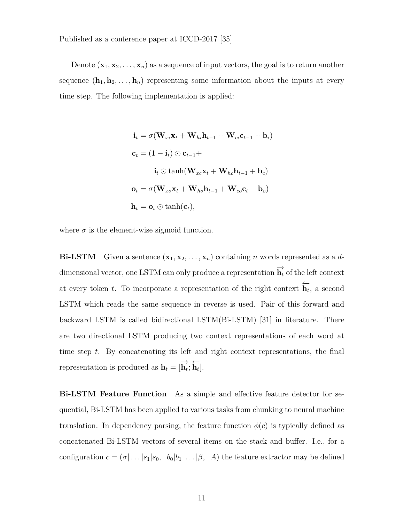Denote  $(\mathbf{x}_1, \mathbf{x}_2, \dots, \mathbf{x}_n)$  as a sequence of input vectors, the goal is to return another sequence  $(\mathbf{h}_1, \mathbf{h}_2, \ldots, \mathbf{h}_n)$  representing some information about the inputs at every time step. The following implementation is applied:

$$
\mathbf{i}_t = \sigma(\mathbf{W}_{xi}\mathbf{x}_t + \mathbf{W}_{hi}\mathbf{h}_{t-1} + \mathbf{W}_{ci}\mathbf{c}_{t-1} + \mathbf{b}_i)
$$
  
\n
$$
\mathbf{c}_t = (1 - \mathbf{i}_t) \odot \mathbf{c}_{t-1} +
$$
  
\n
$$
\mathbf{i}_t \odot \tanh(\mathbf{W}_{xc}\mathbf{x}_t + \mathbf{W}_{hc}\mathbf{h}_{t-1} + \mathbf{b}_c)
$$
  
\n
$$
\mathbf{o}_t = \sigma(\mathbf{W}_{xo}\mathbf{x}_t + \mathbf{W}_{ho}\mathbf{h}_{t-1} + \mathbf{W}_{co}\mathbf{c}_t + \mathbf{b}_o)
$$
  
\n
$$
\mathbf{h}_t = \mathbf{o}_t \odot \tanh(\mathbf{c}_t),
$$

where  $\sigma$  is the element-wise sigmoid function.

**Bi-LSTM** Given a sentence  $(\mathbf{x}_1, \mathbf{x}_2, \dots, \mathbf{x}_n)$  containing *n* words represented as a *d*dimensional vector, one LSTM can only produce a representation  $\overrightarrow{h_t}$  of the left context at every token *<sup>t</sup>*. To incorporate a representation of the right context *←−***h***<sup>t</sup>* , a second LSTM which reads the same sequence in reverse is used. Pair of this forward and backward LSTM is called bidirectional LSTM(Bi-LSTM) [31] in literature. There are two directional LSTM producing two context representations of each word at time step *t*. By concatenating its left and right context representations, the final representation is produced as  $\mathbf{h}_t = [\overrightarrow{\mathbf{h}_t}; \overleftarrow{\mathbf{h}_t}].$ 

**Bi-LSTM Feature Function** As a simple and effective feature detector for sequential, Bi-LSTM has been applied to various tasks from chunking to neural machine translation. In dependency parsing, the feature function  $\phi(c)$  is typically defined as concatenated Bi-LSTM vectors of several items on the stack and buffer. I.e., for a configuration  $c = (\sigma | \dots | s_1 | s_0, b_0 | b_1 | \dots | \beta, A)$  the feature extractor may be defined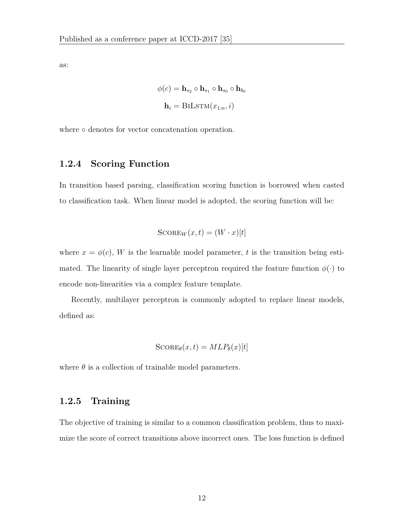as:

$$
\phi(c) = \mathbf{h}_{s_2} \circ \mathbf{h}_{s_1} \circ \mathbf{h}_{s_0} \circ \mathbf{h}_{b_0}
$$

$$
\mathbf{h}_i = \text{BILSTM}(x_{1:n}, i)
$$

where **○** denotes for vector concatenation operation.

## **1.2.4 Scoring Function**

In transition based parsing, classification scoring function is borrowed when casted to classification task. When linear model is adopted, the scoring function will be:

$$
S\text{CORE}_W(x,t) = (W \cdot x)[t]
$$

where  $x = \phi(c)$ , *W* is the learnable model parameter, *t* is the transition being estimated. The linearity of single layer perceptron required the feature function  $\phi(\cdot)$  to encode non-linearities via a complex feature template.

Recently, multilayer perceptron is commonly adopted to replace linear models, defined as:

$$
S\text{CORE}_{\theta}(x,t) = MLP_{\theta}(x)[t]
$$

where  $\theta$  is a collection of trainable model parameters.

## **1.2.5 Training**

The objective of training is similar to a common classification problem, thus to maximize the score of correct transitions above incorrect ones. The loss function is defined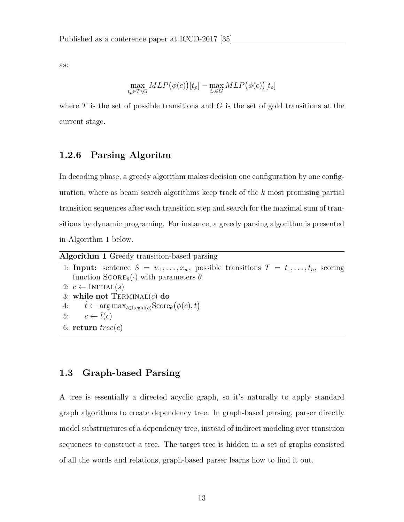as:

$$
\max_{t_p \in T \backslash G} MLP(\phi(c))[t_p] - \max_{t_o \in G} MLP(\phi(c))[t_o]
$$

where *T* is the set of possible transitions and *G* is the set of gold transitions at the current stage.

## **1.2.6 Parsing Algoritm**

In decoding phase, a greedy algorithm makes decision one configuration by one configuration, where as beam search algorithms keep track of the *k* most promising partial transition sequences after each transition step and search for the maximal sum of transitions by dynamic programing. For instance, a greedy parsing algorithm is presented in Algorithm 1 below.

| <b>Algorithm 1</b> Greedy transition-based parsing                                                       |
|----------------------------------------------------------------------------------------------------------|
| 1: <b>Input:</b> sentence $S = w_1, \ldots, x_w$ , possible transitions $T = t_1, \ldots, t_n$ , scoring |
| function $\text{SCORE}_{\theta}(\cdot)$ with parameters $\theta$ .                                       |
| 2: $c \leftarrow \text{INITIAL}(s)$                                                                      |
| 3: while not $TERMINAL(c)$ do                                                                            |
| 4: $\hat{t} \leftarrow \arg \max_{t \in \text{Legal}(c)} \text{Score}_{\theta}(\phi(c), t)$              |
| 5: $c \leftarrow \hat{t}(c)$                                                                             |
| 6: return $tree(c)$                                                                                      |

## **1.3 Graph-based Parsing**

A tree is essentially a directed acyclic graph, so it's naturally to apply standard graph algorithms to create dependency tree. In graph-based parsing, parser directly model substructures of a dependency tree, instead of indirect modeling over transition sequences to construct a tree. The target tree is hidden in a set of graphs consisted of all the words and relations, graph-based parser learns how to find it out.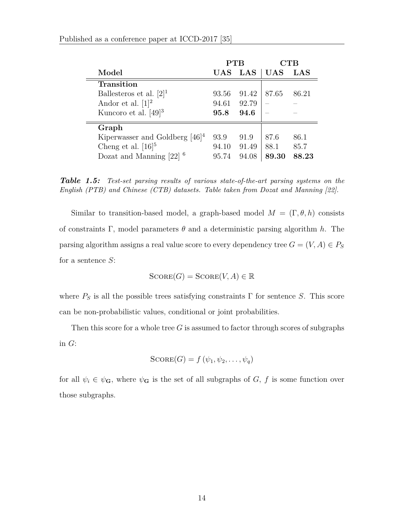|                                       | ${\rm PTB}$ |       |            | CTB   |
|---------------------------------------|-------------|-------|------------|-------|
| Model                                 | UAS         | LAS   | <b>UAS</b> | LAS   |
| <b>Transition</b>                     |             |       |            |       |
| Ballesteros et al. $[2]$ <sup>1</sup> | 93.56       | 91.42 | 87.65      | 86.21 |
| Andor et al. $[1]^2$                  | 94.61       | 92.79 |            |       |
| Kuncoro et al. $[49]$ <sup>3</sup>    | 95.8        | 94.6  |            |       |
| Graph                                 |             |       |            |       |
| Kiperwasser and Goldberg $[46]^{4}$   | 93.9        | 91.9  | 87.6       | 86.1  |
| Cheng et al. $[16]^{5}$               | 94.10       | 91.49 | 88.1       | 85.7  |
| Dozat and Manning [22]                | 95.74       | 94.08 | 89.30      | 88.23 |

*Table 1.5: Test-set parsing results of various state-of-the-art parsing systems on the English (PTB) and Chinese (CTB) datasets. Table taken from Dozat and Manning [22].*

Similar to transition-based model, a graph-based model  $M = (\Gamma, \theta, h)$  consists of constraints  $\Gamma$ , model parameters  $\theta$  and a deterministic parsing algorithm *h*. The parsing algorithm assigns a real value score to every dependency tree  $G = (V, A) \in P_S$ for a sentence *S*:

$$
S\text{CORE}(G) = S\text{CORE}(V, A) \in \mathbb{R}
$$

where  $P_S$  is all the possible trees satisfying constraints  $\Gamma$  for sentence *S*. This score can be non-probabilistic values, conditional or joint probabilities.

Then this score for a whole tree *G* is assumed to factor through scores of subgraphs in *G*:

$$
\text{SCORE}(G) = f(\psi_1, \psi_2, \dots, \psi_q)
$$

for all  $\psi_i \in \psi_{\mathbf{G}}$ , where  $\psi_{\mathbf{G}}$  is the set of all subgraphs of *G*, *f* is some function over those subgraphs.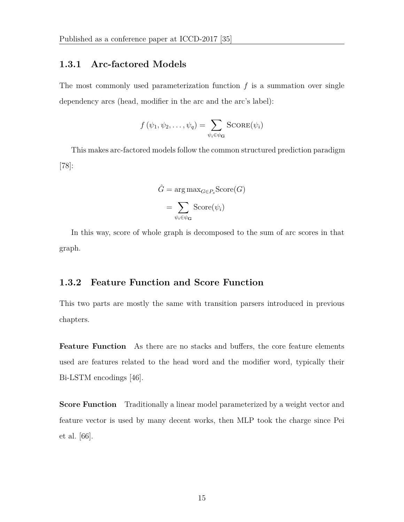## **1.3.1 Arc-factored Models**

The most commonly used parameterization function *f* is a summation over single dependency arcs (head, modifier in the arc and the arc's label):

$$
f(\psi_1, \psi_2, \dots, \psi_q) = \sum_{\psi_i \in \psi_{\mathbf{G}}} \text{Score}(\psi_i)
$$

This makes arc-factored models follow the common structured prediction paradigm [78]:

$$
\hat{G} = \arg \max_{G \in P_s} \text{Score}(G)
$$

$$
= \sum_{\psi_i \in \psi_G} \text{Score}(\psi_i)
$$

In this way, score of whole graph is decomposed to the sum of arc scores in that graph.

## **1.3.2 Feature Function and Score Function**

This two parts are mostly the same with transition parsers introduced in previous chapters.

**Feature Function** As there are no stacks and buffers, the core feature elements used are features related to the head word and the modifier word, typically their Bi-LSTM encodings [46].

**Score Function** Traditionally a linear model parameterized by a weight vector and feature vector is used by many decent works, then MLP took the charge since Pei et al. [66].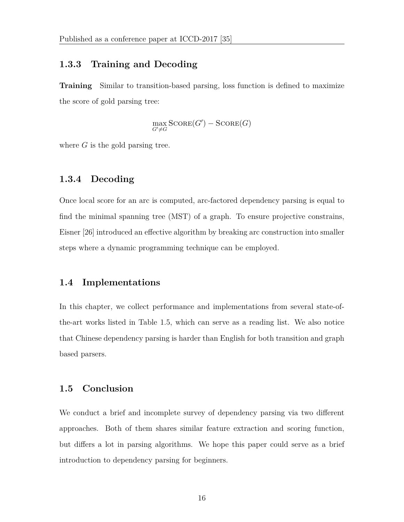## **1.3.3 Training and Decoding**

**Training** Similar to transition-based parsing, loss function is defined to maximize the score of gold parsing tree:

> max *G′̸*=*G*  $Scone(G') - Scone(G)$

where *G* is the gold parsing tree.

## **1.3.4 Decoding**

Once local score for an arc is computed, arc-factored dependency parsing is equal to find the minimal spanning tree (MST) of a graph. To ensure projective constrains, Eisner [26] introduced an effective algorithm by breaking arc construction into smaller steps where a dynamic programming technique can be employed.

## **1.4 Implementations**

In this chapter, we collect performance and implementations from several state-ofthe-art works listed in Table 1.5, which can serve as a reading list. We also notice that Chinese dependency parsing is harder than English for both transition and graph based parsers.

## **1.5 Conclusion**

We conduct a brief and incomplete survey of dependency parsing via two different approaches. Both of them shares similar feature extraction and scoring function, but differs a lot in parsing algorithms. We hope this paper could serve as a brief introduction to dependency parsing for beginners.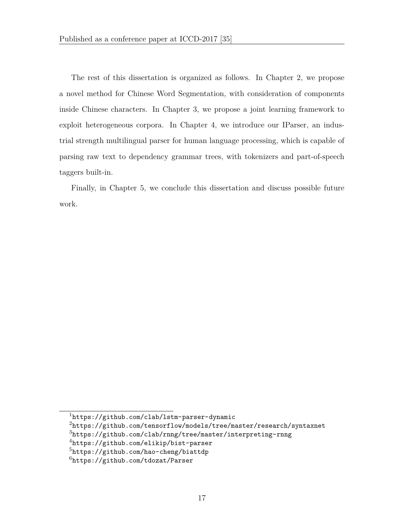The rest of this dissertation is organized as follows. In Chapter 2, we propose a novel method for Chinese Word Segmentation, with consideration of components inside Chinese characters. In Chapter 3, we propose a joint learning framework to exploit heterogeneous corpora. In Chapter 4, we introduce our IParser, an industrial strength multilingual parser for human language processing, which is capable of parsing raw text to dependency grammar trees, with tokenizers and part-of-speech taggers built-in.

Finally, in Chapter 5, we conclude this dissertation and discuss possible future work.

<sup>1</sup>https://github.com/clab/lstm-parser-dynamic

 $2$ https://github.com/tensorflow/models/tree/master/research/syntaxnet

<sup>3</sup>https://github.com/clab/rnng/tree/master/interpreting-rnng

<sup>4</sup>https://github.com/elikip/bist-parser

<sup>5</sup>https://github.com/hao-cheng/biattdp

 $6$ https://github.com/tdozat/Parser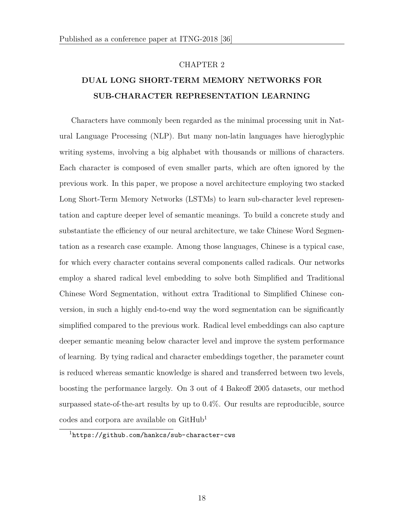#### CHAPTER 2

## **DUAL LONG SHORT-TERM MEMORY NETWORKS FOR SUB-CHARACTER REPRESENTATION LEARNING**

Characters have commonly been regarded as the minimal processing unit in Natural Language Processing (NLP). But many non-latin languages have hieroglyphic writing systems, involving a big alphabet with thousands or millions of characters. Each character is composed of even smaller parts, which are often ignored by the previous work. In this paper, we propose a novel architecture employing two stacked Long Short-Term Memory Networks (LSTMs) to learn sub-character level representation and capture deeper level of semantic meanings. To build a concrete study and substantiate the efficiency of our neural architecture, we take Chinese Word Segmentation as a research case example. Among those languages, Chinese is a typical case, for which every character contains several components called radicals. Our networks employ a shared radical level embedding to solve both Simplified and Traditional Chinese Word Segmentation, without extra Traditional to Simplified Chinese conversion, in such a highly end-to-end way the word segmentation can be significantly simplified compared to the previous work. Radical level embeddings can also capture deeper semantic meaning below character level and improve the system performance of learning. By tying radical and character embeddings together, the parameter count is reduced whereas semantic knowledge is shared and transferred between two levels, boosting the performance largely. On 3 out of 4 Bakeoff 2005 datasets, our method surpassed state-of-the-art results by up to 0*.*4%. Our results are reproducible, source codes and corpora are available on GitHub<sup>1</sup>

<sup>1</sup>https://github.com/hankcs/sub-character-cws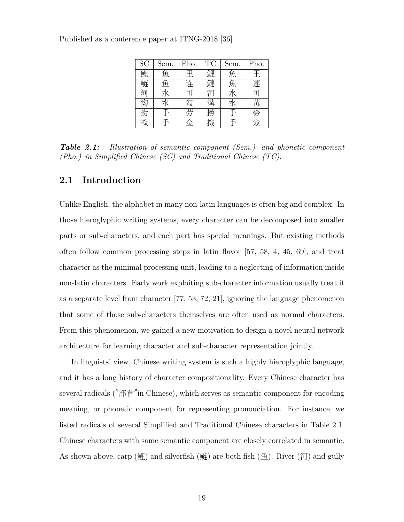| SC | Sem. | Pho.                               | TC | Sem. | Pho.                               |
|----|------|------------------------------------|----|------|------------------------------------|
| 鲤  | 鱼    | 里                                  | 鯉  | 魚    | 里                                  |
| 鲢  | 鱼    | 连                                  | 睫  | 魚    | 連                                  |
| 河  | 水    | $\overline{\overline{\mathbb{H}}}$ | 河  | 水    | $\overline{\overline{\mathbb{H}}}$ |
| 匃  |      | 勾                                  |    | 水    | 冓                                  |
| 错  | 手    | 劳                                  |    | 手    | 钤                                  |
|    |      | 佥                                  | 妏  | ⇉    | 斏                                  |

*Table 2.1: Illustration of semantic component (Sem.) and phonetic component (Pho.) in Simplified Chinese (SC) and Traditional Chinese (TC).*

## **2.1 Introduction**

Unlike English, the alphabet in many non-latin languages is often big and complex. In those hieroglyphic writing systems, every character can be decomposed into smaller parts or sub-characters, and each part has special meanings. But existing methods often follow common processing steps in latin flavor [57, 58, 4, 45, 69], and treat character as the minimal processing unit, leading to a neglecting of information inside non-latin characters. Early work exploiting sub-character information usually treat it as a separate level from character [77, 53, 72, 21], ignoring the language phenomenon that some of those sub-characters themselves are often used as normal characters. From this phenomenon, we gained a new motivation to design a novel neural network architecture for learning character and sub-character representation jointly.

In linguists' view, Chinese writing system is such a highly hieroglyphic language, and it has a long history of character compositionality. Every Chinese character has several radicals ("部首"in Chinese), which serves as semantic component for encoding meaning, or phonetic component for representing pronouciation. For instance, we listed radicals of several Simplified and Traditional Chinese characters in Table 2.1. Chinese characters with same semantic component are closely correlated in semantic. As shown above, carp (鲤) and silverfish (鲢) are both fish  $(\hat{\theta})$ . River (河) and gully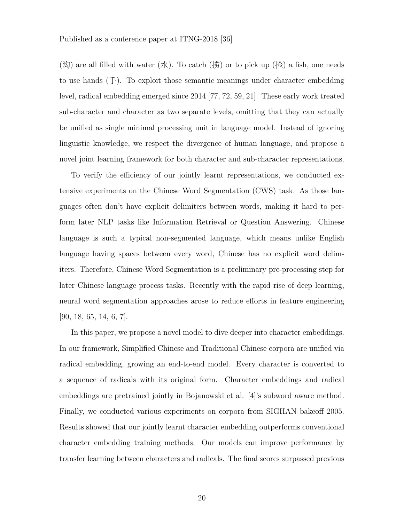$(\&)$  are all filled with water  $(\&)$ . To catch  $(\#)$  or to pick up  $(\&)$  a fish, one needs to use hands  $(\pm)$ . To exploit those semantic meanings under character embedding level, radical embedding emerged since 2014 [77, 72, 59, 21]. These early work treated sub-character and character as two separate levels, omitting that they can actually be unified as single minimal processing unit in language model. Instead of ignoring linguistic knowledge, we respect the divergence of human language, and propose a novel joint learning framework for both character and sub-character representations.

To verify the efficiency of our jointly learnt representations, we conducted extensive experiments on the Chinese Word Segmentation (CWS) task. As those languages often don't have explicit delimiters between words, making it hard to perform later NLP tasks like Information Retrieval or Question Answering. Chinese language is such a typical non-segmented language, which means unlike English language having spaces between every word, Chinese has no explicit word delimiters. Therefore, Chinese Word Segmentation is a preliminary pre-processing step for later Chinese language process tasks. Recently with the rapid rise of deep learning, neural word segmentation approaches arose to reduce efforts in feature engineering [90, 18, 65, 14, 6, 7].

In this paper, we propose a novel model to dive deeper into character embeddings. In our framework, Simplified Chinese and Traditional Chinese corpora are unified via radical embedding, growing an end-to-end model. Every character is converted to a sequence of radicals with its original form. Character embeddings and radical embeddings are pretrained jointly in Bojanowski et al. [4]'s subword aware method. Finally, we conducted various experiments on corpora from SIGHAN bakeoff 2005. Results showed that our jointly learnt character embedding outperforms conventional character embedding training methods. Our models can improve performance by transfer learning between characters and radicals. The final scores surpassed previous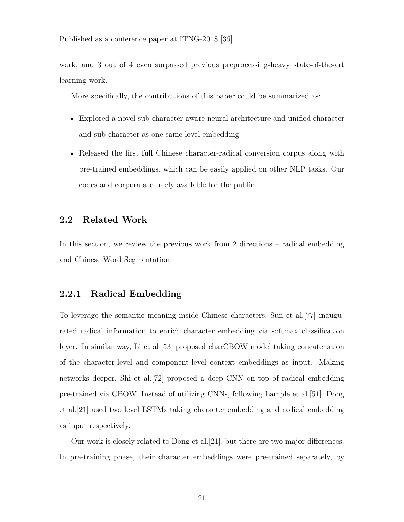work, and 3 out of 4 even surpassed previous preprocessing-heavy state-of-the-art learning work.

More specifically, the contributions of this paper could be summarized as:

- Explored a novel sub-character aware neural architecture and unified character and sub-character as one same level embedding.
- Released the first full Chinese character-radical conversion corpus along with pre-trained embeddings, which can be easily applied on other NLP tasks. Our codes and corpora are freely available for the public.

## **2.2 Related Work**

In this section, we review the previous work from 2 directions – radical embedding and Chinese Word Segmentation.

## **2.2.1 Radical Embedding**

To leverage the semantic meaning inside Chinese characters, Sun et al.[77] inaugurated radical information to enrich character embedding via softmax classification layer. In similar way, Li et al.[53] proposed charCBOW model taking concatenation of the character-level and component-level context embeddings as input. Making networks deeper, Shi et al.[72] proposed a deep CNN on top of radical embedding pre-trained via CBOW. Instead of utilizing CNNs, following Lample et al.[51], Dong et al.[21] used two level LSTMs taking character embedding and radical embedding as input respectively.

Our work is closely related to Dong et al.[21], but there are two major differences. In pre-training phase, their character embeddings were pre-trained separately, by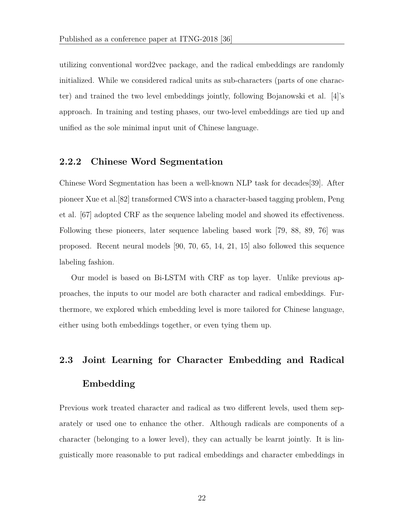utilizing conventional word2vec package, and the radical embeddings are randomly initialized. While we considered radical units as sub-characters (parts of one character) and trained the two level embeddings jointly, following Bojanowski et al. [4]'s approach. In training and testing phases, our two-level embeddings are tied up and unified as the sole minimal input unit of Chinese language.

## **2.2.2 Chinese Word Segmentation**

Chinese Word Segmentation has been a well-known NLP task for decades[39]. After pioneer Xue et al.[82] transformed CWS into a character-based tagging problem, Peng et al. [67] adopted CRF as the sequence labeling model and showed its effectiveness. Following these pioneers, later sequence labeling based work [79, 88, 89, 76] was proposed. Recent neural models [90, 70, 65, 14, 21, 15] also followed this sequence labeling fashion.

Our model is based on Bi-LSTM with CRF as top layer. Unlike previous approaches, the inputs to our model are both character and radical embeddings. Furthermore, we explored which embedding level is more tailored for Chinese language, either using both embeddings together, or even tying them up.

# **2.3 Joint Learning for Character Embedding and Radical Embedding**

Previous work treated character and radical as two different levels, used them separately or used one to enhance the other. Although radicals are components of a character (belonging to a lower level), they can actually be learnt jointly. It is linguistically more reasonable to put radical embeddings and character embeddings in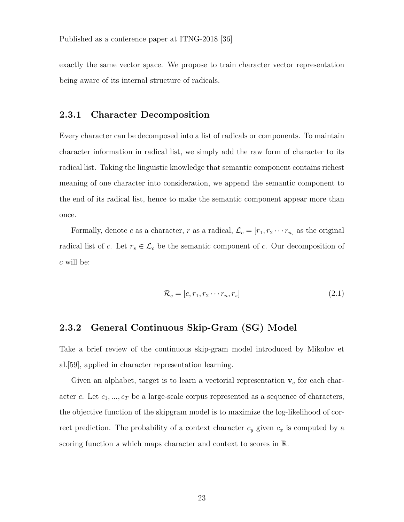exactly the same vector space. We propose to train character vector representation being aware of its internal structure of radicals.

#### **2.3.1 Character Decomposition**

Every character can be decomposed into a list of radicals or components. To maintain character information in radical list, we simply add the raw form of character to its radical list. Taking the linguistic knowledge that semantic component contains richest meaning of one character into consideration, we append the semantic component to the end of its radical list, hence to make the semantic component appear more than once.

Formally, denote *c* as a character, *r* as a radical,  $\mathcal{L}_c = [r_1, r_2 \cdots r_n]$  as the original radical list of *c*. Let  $r_s \in \mathcal{L}_c$  be the semantic component of *c*. Our decomposition of *c* will be:

$$
\mathcal{R}_c = [c, r_1, r_2 \cdots r_n, r_s]
$$
\n
$$
(2.1)
$$

## **2.3.2 General Continuous Skip-Gram (SG) Model**

Take a brief review of the continuous skip-gram model introduced by Mikolov et al.[59], applied in character representation learning.

Given an alphabet, target is to learn a vectorial representation **v***<sup>c</sup>* for each character *c*. Let  $c_1, ..., c_T$  be a large-scale corpus represented as a sequence of characters, the objective function of the skipgram model is to maximize the log-likelihood of correct prediction. The probability of a context character  $c_y$  given  $c_x$  is computed by a scoring function *s* which maps character and context to scores in R.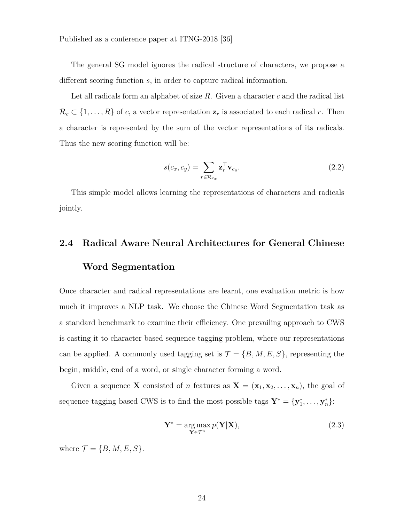The general SG model ignores the radical structure of characters, we propose a different scoring function *s*, in order to capture radical information.

Let all radicals form an alphabet of size *R*. Given a character *c* and the radical list  $\mathcal{R}_c \subset \{1, \ldots, R\}$  of *c*, a vector representation  $\mathbf{z}_r$  is associated to each radical *r*. Then a character is represented by the sum of the vector representations of its radicals. Thus the new scoring function will be:

$$
s(c_x, c_y) = \sum_{r \in \mathcal{R}_{c_x}} \mathbf{z}_r^{\top} \mathbf{v}_{c_y}.
$$
 (2.2)

This simple model allows learning the representations of characters and radicals jointly.

# **2.4 Radical Aware Neural Architectures for General Chinese Word Segmentation**

Once character and radical representations are learnt, one evaluation metric is how much it improves a NLP task. We choose the Chinese Word Segmentation task as a standard benchmark to examine their efficiency. One prevailing approach to CWS is casting it to character based sequence tagging problem, where our representations can be applied. A commonly used tagging set is  $\mathcal{T} = \{B, M, E, S\}$ , representing the **b**egin, **m**iddle, **e**nd of a word, or **s**ingle character forming a word.

Given a sequence **X** consisted of *n* features as  $\mathbf{X} = (\mathbf{x}_1, \mathbf{x}_2, \dots, \mathbf{x}_n)$ , the goal of sequence tagging based CWS is to find the most possible tags  $\mathbf{Y}^* = {\mathbf{y}_1^*, \dots, \mathbf{y}_n^*}$ :

$$
\mathbf{Y}^* = \underset{\mathbf{Y} \in \mathcal{T}^n}{\arg \max} p(\mathbf{Y}|\mathbf{X}),\tag{2.3}
$$

where  $\mathcal{T} = \{B, M, E, S\}$ .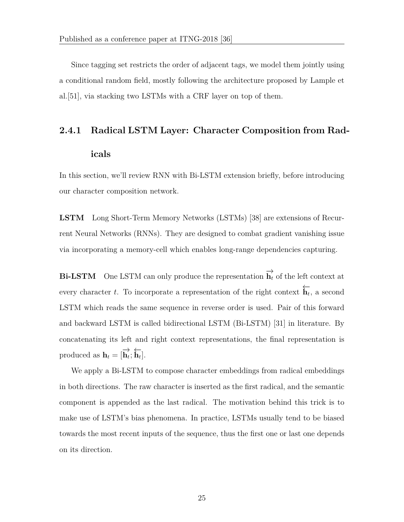Since tagging set restricts the order of adjacent tags, we model them jointly using a conditional random field, mostly following the architecture proposed by Lample et al.[51], via stacking two LSTMs with a CRF layer on top of them.

# **2.4.1 Radical LSTM Layer: Character Composition from Radicals**

In this section, we'll review RNN with Bi-LSTM extension briefly, before introducing our character composition network.

**LSTM** Long Short-Term Memory Networks (LSTMs) [38] are extensions of Recurrent Neural Networks (RNNs). They are designed to combat gradient vanishing issue via incorporating a memory-cell which enables long-range dependencies capturing.

**Bi-LSTM** One LSTM can only produce the representation  $\overrightarrow{h}_t$  of the left context at every character *<sup>t</sup>*. To incorporate a representation of the right context *←−***h***<sup>t</sup>* , a second LSTM which reads the same sequence in reverse order is used. Pair of this forward and backward LSTM is called bidirectional LSTM (Bi-LSTM) [31] in literature. By concatenating its left and right context representations, the final representation is produced as  $\mathbf{h}_t = [\overrightarrow{\mathbf{h}_t}; \overleftarrow{\mathbf{h}_t}].$ 

We apply a Bi-LSTM to compose character embeddings from radical embeddings in both directions. The raw character is inserted as the first radical, and the semantic component is appended as the last radical. The motivation behind this trick is to make use of LSTM's bias phenomena. In practice, LSTMs usually tend to be biased towards the most recent inputs of the sequence, thus the first one or last one depends on its direction.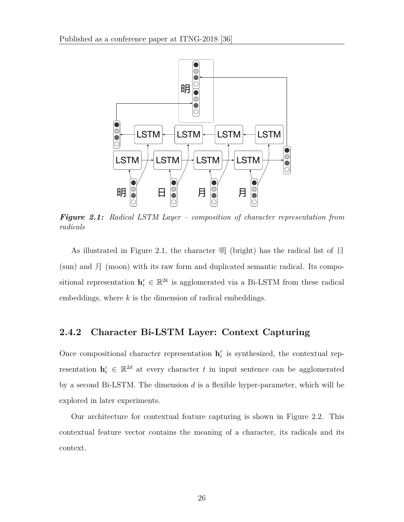

*Figure 2.1: Radical LSTM Layer – composition of character representation from radicals*

As illustrated in Figure 2.1, the character  $\mathbb{H}$  (bright) has the radical list of  $\boxminus$  $(\text{sun})$  and  $\text{F}$  (moon) with its raw form and duplicated semantic radical. Its compositional representation  $\mathbf{h}_i^r \in \mathbb{R}^{2k}$  is agglomerated via a Bi-LSTM from these radical embeddings, where *k* is the dimension of radical embeddings.

## **2.4.2 Character Bi-LSTM Layer: Context Capturing**

Once compositional character representation  $\mathbf{h}_i^r$  is synthesized, the contextual representation  $\mathbf{h}_t^c \in \mathbb{R}^{2d}$  at every character *t* in input sentence can be agglomerated by a second Bi-LSTM. The dimension *d* is a flexible hyper-parameter, which will be explored in later experiments.

Our architecture for contextual feature capturing is shown in Figure 2.2. This contextual feature vector contains the meaning of a character, its radicals and its context.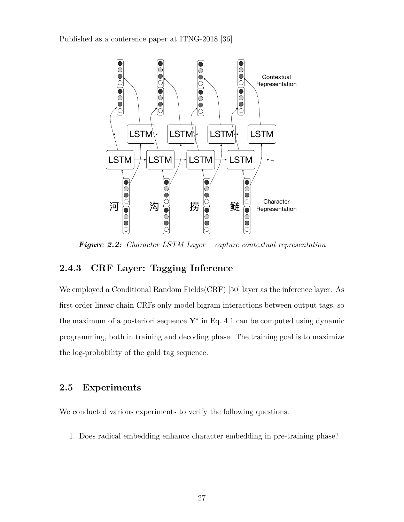

*Figure 2.2: Character LSTM Layer – capture contextual representation*

## **2.4.3 CRF Layer: Tagging Inference**

We employed a Conditional Random Fields(CRF) [50] layer as the inference layer. As first order linear chain CRFs only model bigram interactions between output tags, so the maximum of a posteriori sequence **Y***<sup>∗</sup>* in Eq. 4.1 can be computed using dynamic programming, both in training and decoding phase. The training goal is to maximize the log-probability of the gold tag sequence.

## **2.5 Experiments**

We conducted various experiments to verify the following questions:

1. Does radical embedding enhance character embedding in pre-training phase?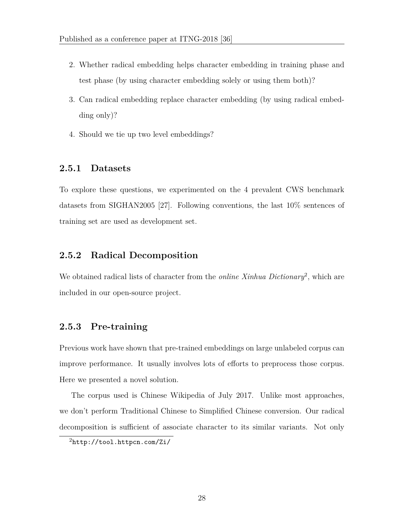- 2. Whether radical embedding helps character embedding in training phase and test phase (by using character embedding solely or using them both)?
- 3. Can radical embedding replace character embedding (by using radical embedding only)?
- 4. Should we tie up two level embeddings?

#### **2.5.1 Datasets**

To explore these questions, we experimented on the 4 prevalent CWS benchmark datasets from SIGHAN2005 [27]. Following conventions, the last 10% sentences of training set are used as development set.

#### **2.5.2 Radical Decomposition**

We obtained radical lists of character from the *online Xinhua Dictionary*<sup>2</sup>, which are included in our open-source project.

#### **2.5.3 Pre-training**

Previous work have shown that pre-trained embeddings on large unlabeled corpus can improve performance. It usually involves lots of efforts to preprocess those corpus. Here we presented a novel solution.

The corpus used is Chinese Wikipedia of July 2017. Unlike most approaches, we don't perform Traditional Chinese to Simplified Chinese conversion. Our radical decomposition is sufficient of associate character to its similar variants. Not only

<sup>2</sup>http://tool.httpcn.com/Zi/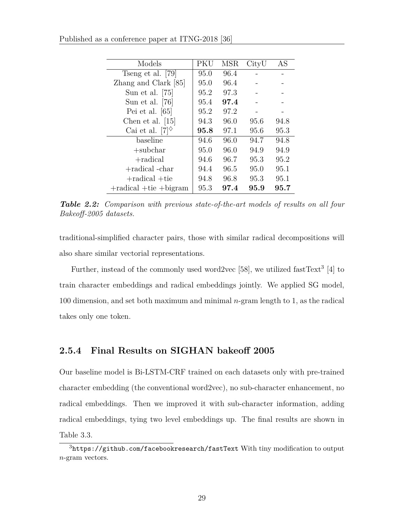| Models                         | PKU  | MSR  | CityU | AS   |
|--------------------------------|------|------|-------|------|
| Tseng et al. [79]              | 95.0 | 96.4 |       |      |
| Zhang and Clark [85]           | 95.0 | 96.4 |       |      |
| Sun et al. $[75]$              | 95.2 | 97.3 |       |      |
| Sun et al. $[76]$              | 95.4 | 97.4 |       |      |
| Pei et al. $[65]$              | 95.2 | 97.2 |       |      |
| Chen et al. $[15]$             | 94.3 | 96.0 | 95.6  | 94.8 |
| Cai et al. $[7]^\diamond$      | 95.8 | 97.1 | 95.6  | 95.3 |
| baseline                       | 94.6 | 96.0 | 94.7  | 94.8 |
| $+$ subchar                    | 95.0 | 96.0 | 94.9  | 94.9 |
| $+$ radical                    | 94.6 | 96.7 | 95.3  | 95.2 |
| +radical -char                 | 94.4 | 96.5 | 95.0  | 95.1 |
| $+$ radical $+$ tie            | 94.8 | 96.8 | 95.3  | 95.1 |
| $+$ radical $+$ tie $+$ bigram | 95.3 | 97.4 | 95.9  | 95.7 |

Published as a conference paper at ITNG-2018 [36]

*Table 2.2: Comparison with previous state-of-the-art models of results on all four Bakeoff-2005 datasets.*

traditional-simplified character pairs, those with similar radical decompositions will also share similar vectorial representations.

Further, instead of the commonly used word2vec [58], we utilized fastText<sup>3</sup> [4] to train character embeddings and radical embeddings jointly. We applied SG model, 100 dimension, and set both maximum and minimal *n*-gram length to 1, as the radical takes only one token.

## **2.5.4 Final Results on SIGHAN bakeoff 2005**

Our baseline model is Bi-LSTM-CRF trained on each datasets only with pre-trained character embedding (the conventional word2vec), no sub-character enhancement, no radical embeddings. Then we improved it with sub-character information, adding radical embeddings, tying two level embeddings up. The final results are shown in Table 3.3.

 $3$ https://github.com/facebookresearch/fastText With tiny modification to output *n*-gram vectors.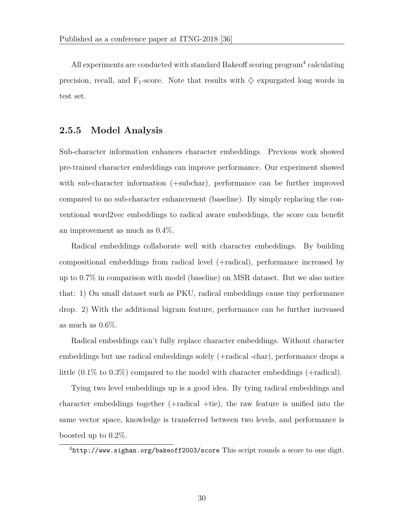All experiments are conducted with standard Bakeoff scoring program<sup>4</sup> calculating precision, recall, and  $F_1$ -score. Note that results with  $\diamondsuit$  expurgated long words in test set.

#### **2.5.5 Model Analysis**

Sub-character information enhances character embeddings. Previous work showed pre-trained character embeddings can improve performance. Our experiment showed with sub-character information (+subchar), performance can be further improved compared to no sub-character enhancement (baseline). By simply replacing the conventional word2vec embeddings to radical aware embeddings, the score can benefit an improvement as much as 0*.*4%.

Radical embeddings collaborate well with character embeddings. By building compositional embeddings from radical level (+radical), performance increased by up to 0*.*7% in comparison with model (baseline) on MSR dataset. But we also notice that: 1) On small dataset such as PKU, radical embeddings cause tiny performance drop. 2) With the additional bigram feature, performance can be further increased as much as 0*.*6%.

Radical embeddings can't fully replace character embeddings. Without character embeddings but use radical embeddings solely (+radical -char), performance drops a little (0*.*1% to 0*.*3%) compared to the model with character embeddings (+radical).

Tying two level embeddings up is a good idea. By tying radical embeddings and character embeddings together (+radical +tie), the raw feature is unified into the same vector space, knowledge is transferred between two levels, and performance is boosted up to 0*.*2%.

 $^{4}$ http://www.sighan.org/bakeoff2003/score This script rounds a score to one digit.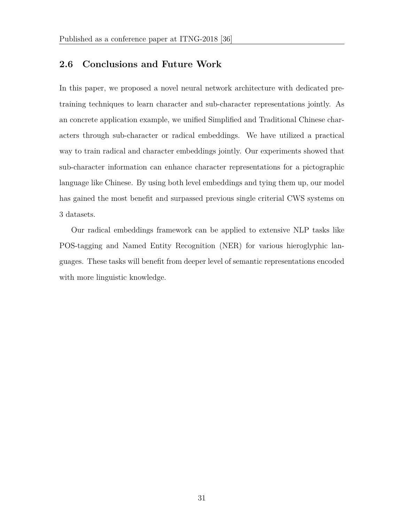## **2.6 Conclusions and Future Work**

In this paper, we proposed a novel neural network architecture with dedicated pretraining techniques to learn character and sub-character representations jointly. As an concrete application example, we unified Simplified and Traditional Chinese characters through sub-character or radical embeddings. We have utilized a practical way to train radical and character embeddings jointly. Our experiments showed that sub-character information can enhance character representations for a pictographic language like Chinese. By using both level embeddings and tying them up, our model has gained the most benefit and surpassed previous single criterial CWS systems on 3 datasets.

Our radical embeddings framework can be applied to extensive NLP tasks like POS-tagging and Named Entity Recognition (NER) for various hieroglyphic languages. These tasks will benefit from deeper level of semantic representations encoded with more linguistic knowledge.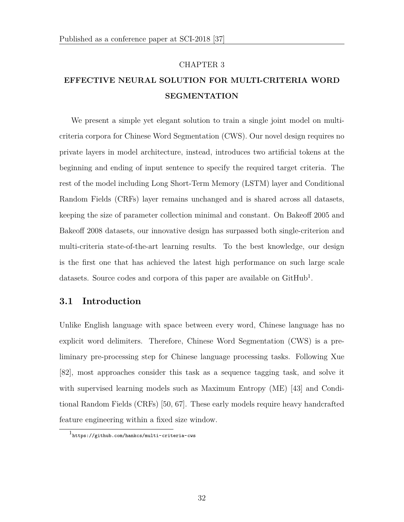#### CHAPTER 3

## **EFFECTIVE NEURAL SOLUTION FOR MULTI-CRITERIA WORD SEGMENTATION**

We present a simple yet elegant solution to train a single joint model on multicriteria corpora for Chinese Word Segmentation (CWS). Our novel design requires no private layers in model architecture, instead, introduces two artificial tokens at the beginning and ending of input sentence to specify the required target criteria. The rest of the model including Long Short-Term Memory (LSTM) layer and Conditional Random Fields (CRFs) layer remains unchanged and is shared across all datasets, keeping the size of parameter collection minimal and constant. On Bakeoff 2005 and Bakeoff 2008 datasets, our innovative design has surpassed both single-criterion and multi-criteria state-of-the-art learning results. To the best knowledge, our design is the first one that has achieved the latest high performance on such large scale datasets. Source codes and corpora of this paper are available on GitHub<sup>1</sup>.

#### **3.1 Introduction**

Unlike English language with space between every word, Chinese language has no explicit word delimiters. Therefore, Chinese Word Segmentation (CWS) is a preliminary pre-processing step for Chinese language processing tasks. Following Xue [82], most approaches consider this task as a sequence tagging task, and solve it with supervised learning models such as Maximum Entropy (ME) [43] and Conditional Random Fields (CRFs) [50, 67]. These early models require heavy handcrafted feature engineering within a fixed size window.

<sup>1</sup> https://github.com/hankcs/multi-criteria-cws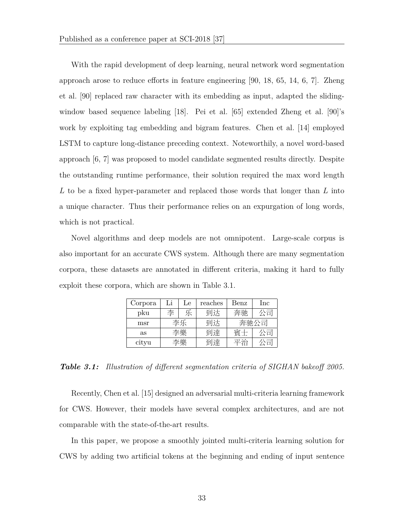With the rapid development of deep learning, neural network word segmentation approach arose to reduce efforts in feature engineering [90, 18, 65, 14, 6, 7]. Zheng et al. [90] replaced raw character with its embedding as input, adapted the slidingwindow based sequence labeling [18]. Pei et al. [65] extended Zheng et al. [90]'s work by exploiting tag embedding and bigram features. Chen et al. [14] employed LSTM to capture long-distance preceding context. Noteworthily, a novel word-based approach [6, 7] was proposed to model candidate segmented results directly. Despite the outstanding runtime performance, their solution required the max word length *L* to be a fixed hyper-parameter and replaced those words that longer than *L* into a unique character. Thus their performance relies on an expurgation of long words, which is not practical.

Novel algorithms and deep models are not omnipotent. Large-scale corpus is also important for an accurate CWS system. Although there are many segmentation corpora, these datasets are annotated in different criteria, making it hard to fully exploit these corpora, which are shown in Table 3.1.

| Corpora | Li | Le | reaches | Benz | Inc |
|---------|----|----|---------|------|-----|
| pku     | 李  |    | 到达      | 奔驰   | 公司  |
| msr     | 李乐 |    | 到达      | 奔驰公司 |     |
| as      | 李樂 |    | 到達      | 賓十   | 公司  |
| cityu   | 李樂 |    | 到達      | 平治   |     |

*Table 3.1: Illustration of different segmentation criteria of SIGHAN bakeoff 2005.*

Recently, Chen et al. [15] designed an adversarial multi-criteria learning framework for CWS. However, their models have several complex architectures, and are not comparable with the state-of-the-art results.

In this paper, we propose a smoothly jointed multi-criteria learning solution for CWS by adding two artificial tokens at the beginning and ending of input sentence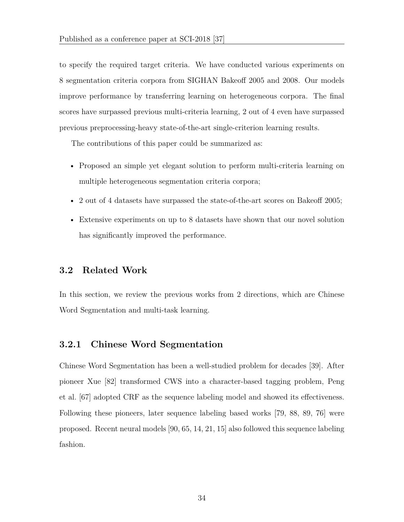to specify the required target criteria. We have conducted various experiments on 8 segmentation criteria corpora from SIGHAN Bakeoff 2005 and 2008. Our models improve performance by transferring learning on heterogeneous corpora. The final scores have surpassed previous multi-criteria learning, 2 out of 4 even have surpassed previous preprocessing-heavy state-of-the-art single-criterion learning results.

The contributions of this paper could be summarized as:

- Proposed an simple yet elegant solution to perform multi-criteria learning on multiple heterogeneous segmentation criteria corpora;
- 2 out of 4 datasets have surpassed the state-of-the-art scores on Bakeoff 2005;
- Extensive experiments on up to 8 datasets have shown that our novel solution has significantly improved the performance.

#### **3.2 Related Work**

In this section, we review the previous works from 2 directions, which are Chinese Word Segmentation and multi-task learning.

#### **3.2.1 Chinese Word Segmentation**

Chinese Word Segmentation has been a well-studied problem for decades [39]. After pioneer Xue [82] transformed CWS into a character-based tagging problem, Peng et al. [67] adopted CRF as the sequence labeling model and showed its effectiveness. Following these pioneers, later sequence labeling based works [79, 88, 89, 76] were proposed. Recent neural models [90, 65, 14, 21, 15] also followed this sequence labeling fashion.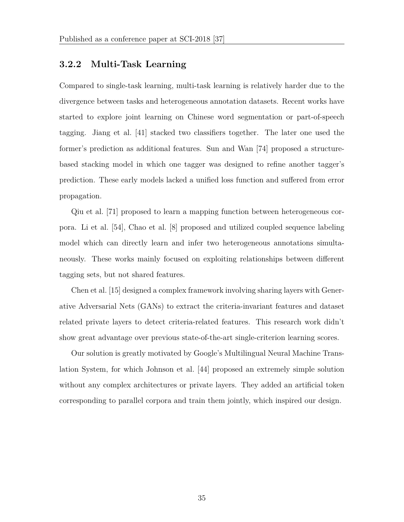#### **3.2.2 Multi-Task Learning**

Compared to single-task learning, multi-task learning is relatively harder due to the divergence between tasks and heterogeneous annotation datasets. Recent works have started to explore joint learning on Chinese word segmentation or part-of-speech tagging. Jiang et al. [41] stacked two classifiers together. The later one used the former's prediction as additional features. Sun and Wan [74] proposed a structurebased stacking model in which one tagger was designed to refine another tagger's prediction. These early models lacked a unified loss function and suffered from error propagation.

Qiu et al. [71] proposed to learn a mapping function between heterogeneous corpora. Li et al. [54], Chao et al. [8] proposed and utilized coupled sequence labeling model which can directly learn and infer two heterogeneous annotations simultaneously. These works mainly focused on exploiting relationships between different tagging sets, but not shared features.

Chen et al. [15] designed a complex framework involving sharing layers with Generative Adversarial Nets (GANs) to extract the criteria-invariant features and dataset related private layers to detect criteria-related features. This research work didn't show great advantage over previous state-of-the-art single-criterion learning scores.

Our solution is greatly motivated by Google's Multilingual Neural Machine Translation System, for which Johnson et al. [44] proposed an extremely simple solution without any complex architectures or private layers. They added an artificial token corresponding to parallel corpora and train them jointly, which inspired our design.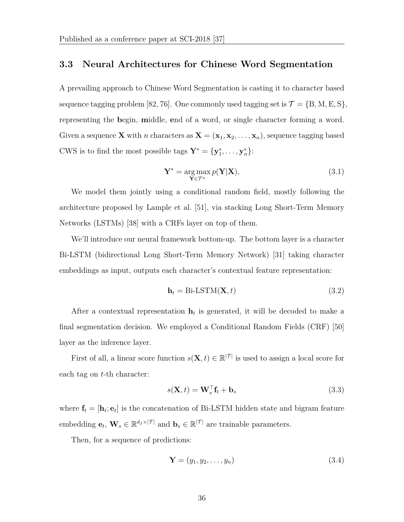#### **3.3 Neural Architectures for Chinese Word Segmentation**

A prevailing approach to Chinese Word Segmentation is casting it to character based sequence tagging problem [82, 76]. One commonly used tagging set is  $\mathcal{T} = \{B, M, E, S\}$ , representing the **b**egin, **m**iddle, **e**nd of a word, or single character forming a word. Given a sequence **X** with *n* characters as  $\mathbf{X} = (\mathbf{x}_1, \mathbf{x}_2, \dots, \mathbf{x}_n)$ , sequence tagging based CWS is to find the most possible tags  $\mathbf{Y}^* = {\mathbf{y}_1^*, \dots, \mathbf{y}_n^*}$ :

$$
\mathbf{Y}^* = \underset{\mathbf{Y} \in \mathcal{T}^n}{\arg \max} p(\mathbf{Y}|\mathbf{X}),\tag{3.1}
$$

We model them jointly using a conditional random field, mostly following the architecture proposed by Lample et al. [51], via stacking Long Short-Term Memory Networks (LSTMs) [38] with a CRFs layer on top of them.

We'll introduce our neural framework bottom-up. The bottom layer is a character Bi-LSTM (bidirectional Long Short-Term Memory Network) [31] taking character embeddings as input, outputs each character's contextual feature representation:

$$
\mathbf{h}_t = \text{Bi-LSTM}(\mathbf{X}, t) \tag{3.2}
$$

After a contextual representation  $h_t$  is generated, it will be decoded to make a final segmentation decision. We employed a Conditional Random Fields (CRF) [50] layer as the inference layer.

First of all, a linear score function  $s(\mathbf{X}, t) \in \mathbb{R}^{|\mathcal{T}|}$  is used to assign a local score for each tag on *t*-th character:

$$
s(\mathbf{X},t) = \mathbf{W}_s^\top \mathbf{f}_t + \mathbf{b}_s \tag{3.3}
$$

where  $\mathbf{f}_t = [\mathbf{h}_t; \mathbf{e}_t]$  is the concatenation of Bi-LSTM hidden state and bigram feature embedding  $\mathbf{e}_t$ ,  $\mathbf{W}_s \in \mathbb{R}^{d_f \times |\mathcal{T}|}$  and  $\mathbf{b}_s \in \mathbb{R}^{|\mathcal{T}|}$  are trainable parameters.

Then, for a sequence of predictions:

$$
\mathbf{Y} = (y_1, y_2, \dots, y_n) \tag{3.4}
$$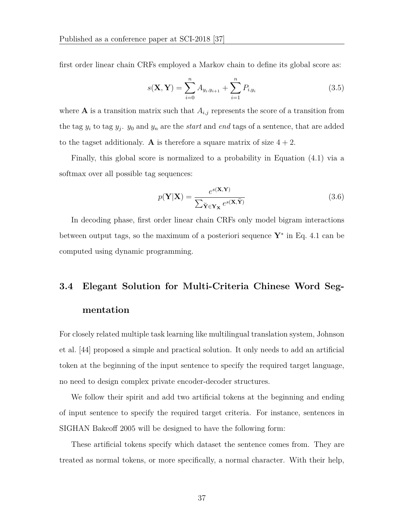first order linear chain CRFs employed a Markov chain to define its global score as:

$$
s(\mathbf{X}, \mathbf{Y}) = \sum_{i=0}^{n} A_{y_i, y_{i+1}} + \sum_{i=1}^{n} P_{i, y_i}
$$
 (3.5)

where  $A$  is a transition matrix such that  $A_{i,j}$  represents the score of a transition from the tag  $y_i$  to tag  $y_j$ .  $y_0$  and  $y_n$  are the *start* and *end* tags of a sentence, that are added to the tagset additionaly. **A** is therefore a square matrix of size  $4 + 2$ .

Finally, this global score is normalized to a probability in Equation (4.1) via a softmax over all possible tag sequences:

$$
p(\mathbf{Y}|\mathbf{X}) = \frac{e^{s(\mathbf{X}, \mathbf{Y})}}{\sum_{\tilde{\mathbf{Y}} \in \mathbf{Y}_{\mathbf{X}}} e^{s(\mathbf{X}, \tilde{\mathbf{Y}})}}
$$
(3.6)

In decoding phase, first order linear chain CRFs only model bigram interactions between output tags, so the maximum of a posteriori sequence **Y***<sup>∗</sup>* in Eq. 4.1 can be computed using dynamic programming.

# **3.4 Elegant Solution for Multi-Criteria Chinese Word Segmentation**

For closely related multiple task learning like multilingual translation system, Johnson et al. [44] proposed a simple and practical solution. It only needs to add an artificial token at the beginning of the input sentence to specify the required target language, no need to design complex private encoder-decoder structures.

We follow their spirit and add two artificial tokens at the beginning and ending of input sentence to specify the required target criteria. For instance, sentences in SIGHAN Bakeoff 2005 will be designed to have the following form:

These artificial tokens specify which dataset the sentence comes from. They are treated as normal tokens, or more specifically, a normal character. With their help,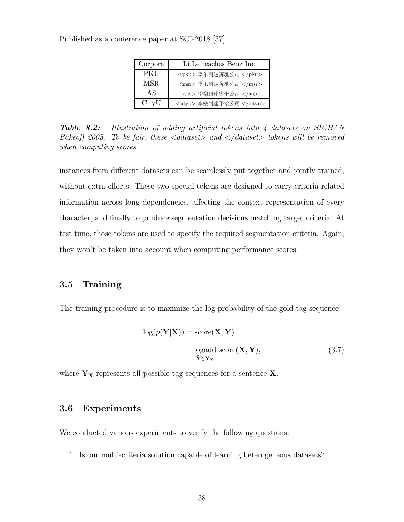| Corpora | Li Le reaches Benz Inc    |
|---------|---------------------------|
| PKU     | <pku> 李乐到达奔驰公司 </pku>     |
| MSR.    | <msr> 李乐到达奔驰公司 </msr>     |
| AS      | <as> 李樂到達賓士公司 </as>       |
| CityU   | <cityu> 李樂到達平治公司 </cityu> |

*Table 3.2: Illustration of adding artificial tokens into 4 datasets on SIGHAN Bakeoff 2005. To be fair, these <dataset> and </dataset> tokens will be removed when computing scores.*

instances from different datasets can be seamlessly put together and jointly trained, without extra efforts. These two special tokens are designed to carry criteria related information across long dependencies, affecting the context representation of every character, and finally to produce segmentation decisions matching target criteria. At test time, those tokens are used to specify the required segmentation criteria. Again, they won't be taken into account when computing performance scores.

#### **3.5 Training**

The training procedure is to maximize the log-probability of the gold tag sequence:

$$
log(p(Y|X)) = score(X, Y)
$$
  
- logadd score(X,  $\tilde{Y}$ ), (3.7)  
 $\tilde{Y} \in Y_X$ 

where  $Y_X$  represents all possible tag sequences for a sentence  $X$ .

#### **3.6 Experiments**

We conducted various experiments to verify the following questions:

1. Is our multi-criteria solution capable of learning heterogeneous datasets?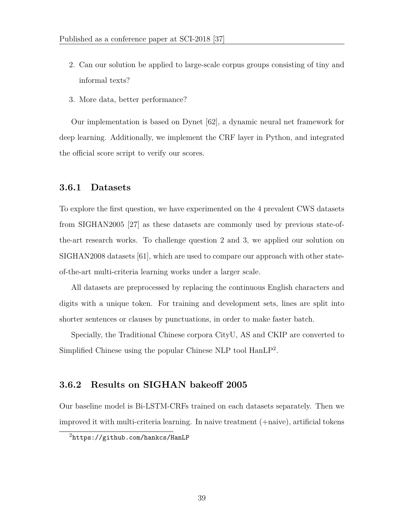- 2. Can our solution be applied to large-scale corpus groups consisting of tiny and informal texts?
- 3. More data, better performance?

Our implementation is based on Dynet [62], a dynamic neural net framework for deep learning. Additionally, we implement the CRF layer in Python, and integrated the official score script to verify our scores.

## **3.6.1 Datasets**

To explore the first question, we have experimented on the 4 prevalent CWS datasets from SIGHAN2005 [27] as these datasets are commonly used by previous state-ofthe-art research works. To challenge question 2 and 3, we applied our solution on SIGHAN2008 datasets [61], which are used to compare our approach with other stateof-the-art multi-criteria learning works under a larger scale.

All datasets are preprocessed by replacing the continuous English characters and digits with a unique token. For training and development sets, lines are split into shorter sentences or clauses by punctuations, in order to make faster batch.

Specially, the Traditional Chinese corpora CityU, AS and CKIP are converted to Simplified Chinese using the popular Chinese NLP tool HanLP<sup>2</sup>.

#### **3.6.2 Results on SIGHAN bakeoff 2005**

Our baseline model is Bi-LSTM-CRFs trained on each datasets separately. Then we improved it with multi-criteria learning. In naive treatment (+naive), artificial tokens

<sup>2</sup>https://github.com/hankcs/HanLP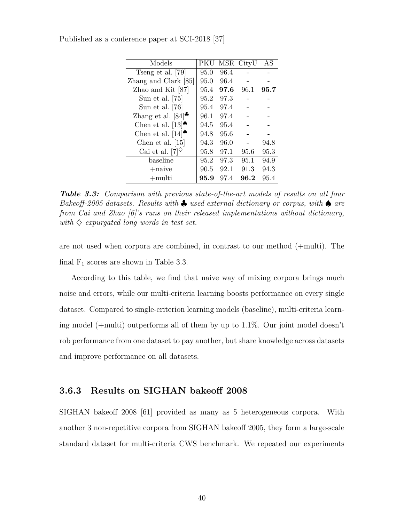|  |  |  | Published as a conference paper at SCI-2018 [37] |  |  |  |  |  |
|--|--|--|--------------------------------------------------|--|--|--|--|--|
|--|--|--|--------------------------------------------------|--|--|--|--|--|

| Models                                              | PKU  |      | MSR CityU | AS   |
|-----------------------------------------------------|------|------|-----------|------|
| Tseng et al. [79]                                   | 95.0 | 96.4 |           |      |
| Zhang and Clark [85]                                | 95.0 | 96.4 |           |      |
| Zhao and Kit [87]                                   | 95.4 | 97.6 | 96.1      | 95.7 |
| Sun et al. $[75]$                                   | 95.2 | 97.3 |           |      |
| Sun et al. $[76]$                                   | 95.4 | 97.4 |           |      |
| Zhang et al. $[84]$ <sup><math>\bullet</math></sup> | 96.1 | 97.4 |           |      |
| Chen et al. $[13]$ <sup><math>\bullet</math></sup>  | 94.5 | 95.4 |           |      |
| Chen et al. $[14]$                                  | 94.8 | 95.6 |           |      |
| Chen et al. $[15]$                                  | 94.3 | 96.0 |           | 94.8 |
| Cai et al. [7] $\Diamond$                           | 95.8 | 97.1 | 95.6      | 95.3 |
| baseline                                            | 95.2 | 97.3 | 95.1      | 94.9 |
| $+$ naive                                           | 90.5 | 92.1 | 91.3      | 94.3 |
| $+$ multi                                           | 95.9 | 97.4 | 96.2      | 95.4 |

*Table 3.3: Comparison with previous state-of-the-art models of results on all four Bakeoff-2005 datasets. Results with ♣ used external dictionary or corpus, with ♠ are from Cai and Zhao [6]'s runs on their released implementations without dictionary, with ♢ expurgated long words in test set.*

are not used when corpora are combined, in contrast to our method (+multi). The final  $F_1$  scores are shown in Table 3.3.

According to this table, we find that naive way of mixing corpora brings much noise and errors, while our multi-criteria learning boosts performance on every single dataset. Compared to single-criterion learning models (baseline), multi-criteria learning model (+multi) outperforms all of them by up to 1*.*1%. Our joint model doesn't rob performance from one dataset to pay another, but share knowledge across datasets and improve performance on all datasets.

#### **3.6.3 Results on SIGHAN bakeoff 2008**

SIGHAN bakeoff 2008 [61] provided as many as 5 heterogeneous corpora. With another 3 non-repetitive corpora from SIGHAN bakeoff 2005, they form a large-scale standard dataset for multi-criteria CWS benchmark. We repeated our experiments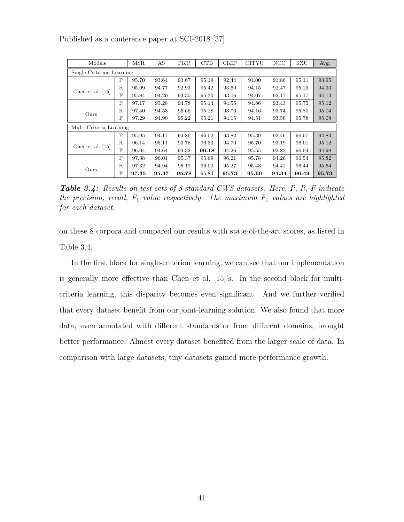| Models                    |             | <b>MSR</b> | AS    | PKU   | CTB   | <b>CKIP</b> | <b>CITYU</b> | NCC   | SXU   | Avg.  |
|---------------------------|-------------|------------|-------|-------|-------|-------------|--------------|-------|-------|-------|
| Single-Criterion Learning |             |            |       |       |       |             |              |       |       |       |
|                           | Ρ           | 95.70      | 93.64 | 93.67 | 95.19 | 92.44       | 94.00        | 91.86 | 95.11 | 93.95 |
|                           | $\mathbf R$ | 95.99      | 94.77 | 92.93 | 95.42 | 93.69       | 94.15        | 92.47 | 95.23 | 94.33 |
| Chen et al. $[15]$        | F           | 95.84      | 94.20 | 93.30 | 95.30 | 93.06       | 94.07        | 92.17 | 95.17 | 94.14 |
|                           | P           | 97.17      | 95.28 | 94.78 | 95.14 | 94.55       | 94.86        | 93.43 | 95.75 | 95.12 |
| Ours                      | R.          | 97.40      | 94.53 | 95.66 | 95.28 | 93.76       | 94.16        | 93.74 | 95.80 | 95.04 |
|                           | F           | 97.29      | 94.90 | 95.22 | 95.21 | 94.15       | 94.51        | 93.58 | 95.78 | 95.08 |
| Multi-Criteria Learning   |             |            |       |       |       |             |              |       |       |       |
|                           | P           | 95.95      | 94.17 | 94.86 | 96.02 | 93.82       | 95.39        | 92.46 | 96.07 | 94.84 |
| Chen et al. $[15]$        | $\mathbf R$ | 96.14      | 95.11 | 93.78 | 96.33 | 94.70       | 95.70        | 93.19 | 96.01 | 95.12 |
|                           | F           | 96.04      | 94.64 | 94.32 | 96.18 | 94.26       | 95.55        | 92.83 | 96.04 | 94.98 |
|                           | P           | 97.38      | 96.01 | 95.37 | 95.69 | 96.21       | 95.78        | 94.26 | 96.54 | 95.82 |
| Ours                      | R.          | 97.32      | 94.94 | 96.19 | 96.00 | 95.27       | 95.43        | 94.42 | 96.44 | 95.64 |
|                           | F           | 97.35      | 95.47 | 95.78 | 95.84 | 95.73       | 95.60        | 94.34 | 96.49 | 95.73 |

*Table 3.4: Results on test sets of 8 standard CWS datasets. Here, P, R, F indicate the precision, recall, F*<sup>1</sup> *value respectively. The maximum F*<sup>1</sup> *values are highlighted for each dataset.*

on these 8 corpora and compared our results with state-of-the-art scores, as listed in Table 3.4.

In the first block for single-criterion learning, we can see that our implementation is generally more effective than Chen et al. [15]'s. In the second block for multicriteria learning, this disparity becomes even significant. And we further verified that every dataset benefit from our joint-learning solution. We also found that more data, even annotated with different standards or from different domains, brought better performance. Almost every dataset benefited from the larger scale of data. In comparison with large datasets, tiny datasets gained more performance growth.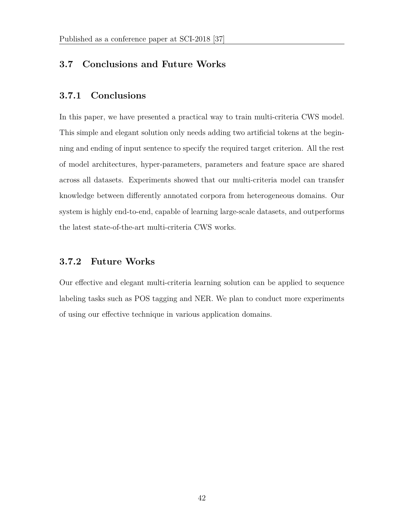## **3.7 Conclusions and Future Works**

## **3.7.1 Conclusions**

In this paper, we have presented a practical way to train multi-criteria CWS model. This simple and elegant solution only needs adding two artificial tokens at the beginning and ending of input sentence to specify the required target criterion. All the rest of model architectures, hyper-parameters, parameters and feature space are shared across all datasets. Experiments showed that our multi-criteria model can transfer knowledge between differently annotated corpora from heterogeneous domains. Our system is highly end-to-end, capable of learning large-scale datasets, and outperforms the latest state-of-the-art multi-criteria CWS works.

## **3.7.2 Future Works**

Our effective and elegant multi-criteria learning solution can be applied to sequence labeling tasks such as POS tagging and NER. We plan to conduct more experiments of using our effective technique in various application domains.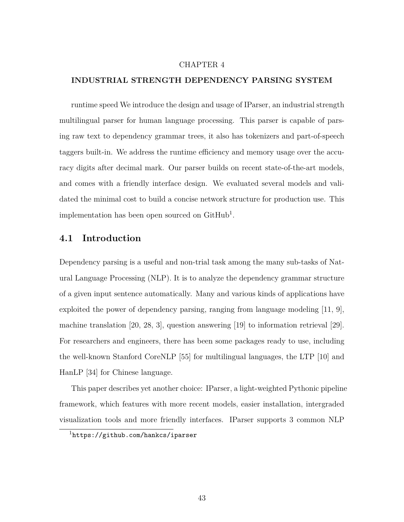#### CHAPTER 4

#### **INDUSTRIAL STRENGTH DEPENDENCY PARSING SYSTEM**

runtime speed We introduce the design and usage of IParser, an industrial strength multilingual parser for human language processing. This parser is capable of parsing raw text to dependency grammar trees, it also has tokenizers and part-of-speech taggers built-in. We address the runtime efficiency and memory usage over the accuracy digits after decimal mark. Our parser builds on recent state-of-the-art models, and comes with a friendly interface design. We evaluated several models and validated the minimal cost to build a concise network structure for production use. This implementation has been open sourced on GitHub<sup>1</sup>.

#### **4.1 Introduction**

Dependency parsing is a useful and non-trial task among the many sub-tasks of Natural Language Processing (NLP). It is to analyze the dependency grammar structure of a given input sentence automatically. Many and various kinds of applications have exploited the power of dependency parsing, ranging from language modeling [11, 9], machine translation [20, 28, 3], question answering [19] to information retrieval [29]. For researchers and engineers, there has been some packages ready to use, including the well-known Stanford CoreNLP [55] for multilingual languages, the LTP [10] and HanLP [34] for Chinese language.

This paper describes yet another choice: IParser, a light-weighted Pythonic pipeline framework, which features with more recent models, easier installation, intergraded visualization tools and more friendly interfaces. IParser supports 3 common NLP

<sup>1</sup>https://github.com/hankcs/iparser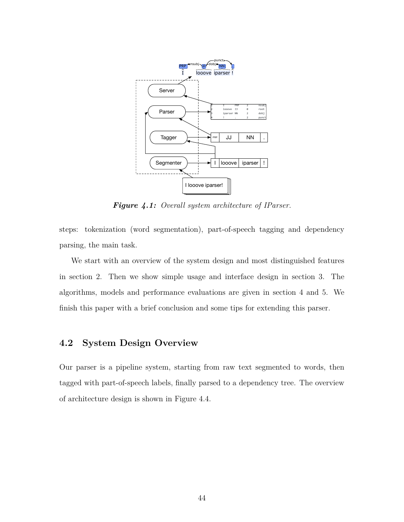

*Figure 4.1: Overall system architecture of IParser.*

steps: tokenization (word segmentation), part-of-speech tagging and dependency parsing, the main task.

We start with an overview of the system design and most distinguished features in section 2. Then we show simple usage and interface design in section 3. The algorithms, models and performance evaluations are given in section 4 and 5. We finish this paper with a brief conclusion and some tips for extending this parser.

## **4.2 System Design Overview**

Our parser is a pipeline system, starting from raw text segmented to words, then tagged with part-of-speech labels, finally parsed to a dependency tree. The overview of architecture design is shown in Figure 4.4.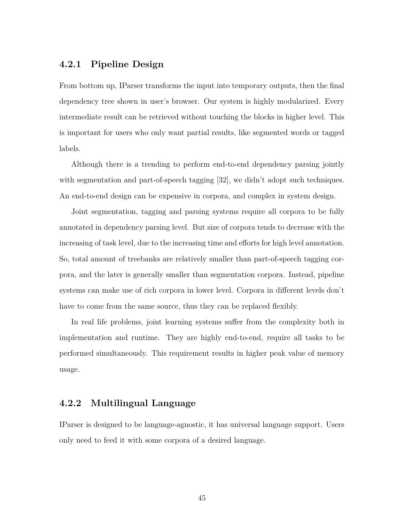## **4.2.1 Pipeline Design**

From bottom up, IParser transforms the input into temporary outputs, then the final dependency tree shown in user's browser. Our system is highly modularized. Every intermediate result can be retrieved without touching the blocks in higher level. This is important for users who only want partial results, like segmented words or tagged labels.

Although there is a trending to perform end-to-end dependency parsing jointly with segmentation and part-of-speech tagging [32], we didn't adopt such techniques. An end-to-end design can be expensive in corpora, and complex in system design.

Joint segmentation, tagging and parsing systems require all corpora to be fully annotated in dependency parsing level. But size of corpora tends to decrease with the increasing of task level, due to the increasing time and efforts for high level annotation. So, total amount of treebanks are relatively smaller than part-of-speech tagging corpora, and the later is generally smaller than segmentation corpora. Instead, pipeline systems can make use of rich corpora in lower level. Corpora in different levels don't have to come from the same source, thus they can be replaced flexibly.

In real life problems, joint learning systems suffer from the complexity both in implementation and runtime. They are highly end-to-end, require all tasks to be performed simultaneously. This requirement results in higher peak value of memory usage.

#### **4.2.2 Multilingual Language**

IParser is designed to be language-agnostic, it has universal language support. Users only need to feed it with some corpora of a desired language.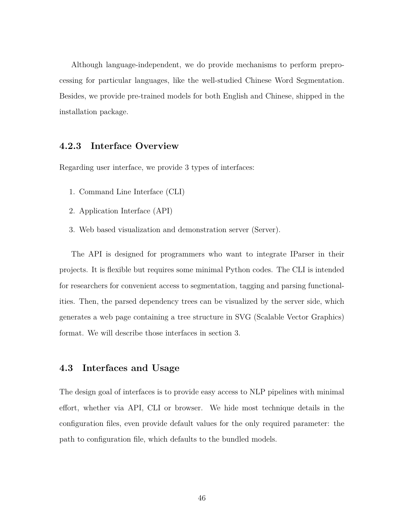Although language-independent, we do provide mechanisms to perform preprocessing for particular languages, like the well-studied Chinese Word Segmentation. Besides, we provide pre-trained models for both English and Chinese, shipped in the installation package.

## **4.2.3 Interface Overview**

Regarding user interface, we provide 3 types of interfaces:

- 1. Command Line Interface (CLI)
- 2. Application Interface (API)
- 3. Web based visualization and demonstration server (Server).

The API is designed for programmers who want to integrate IParser in their projects. It is flexible but requires some minimal Python codes. The CLI is intended for researchers for convenient access to segmentation, tagging and parsing functionalities. Then, the parsed dependency trees can be visualized by the server side, which generates a web page containing a tree structure in SVG (Scalable Vector Graphics) format. We will describe those interfaces in section 3.

#### **4.3 Interfaces and Usage**

The design goal of interfaces is to provide easy access to NLP pipelines with minimal effort, whether via API, CLI or browser. We hide most technique details in the configuration files, even provide default values for the only required parameter: the path to configuration file, which defaults to the bundled models.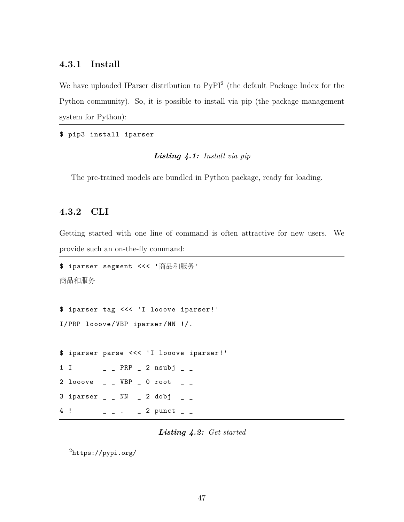## **4.3.1 Install**

We have uploaded IParser distribution to PyPI<sup>2</sup> (the default Package Index for the Python community). So, it is possible to install via pip (the package management system for Python):

\$ pip3 install iparser

#### *Listing 4.1: Install via pip*

The pre-trained models are bundled in Python package, ready for loading.

#### **4.3.2 CLI**

Getting started with one line of command is often attractive for new users. We provide such an on-the-fly command:

```
$ iparser segment <<< '商品和服务'
商品和服务
```

```
$ iparser tag <<< 'I looove iparser!'
I/PRP looove/VBP iparser/NN !/.
```

```
$ iparser parse <<< 'I looove iparser!'
1 I _ _ PRP _ 2 nsubj _ _
2 looove \angle \angle VBP \angle 0 root \angle \angle3 iparser \_ \_ NN \_ 2 dobj
4 ! _ _ . _ 2 punct _ _
```
*Listing 4.2: Get started*

<sup>2</sup>https://pypi.org/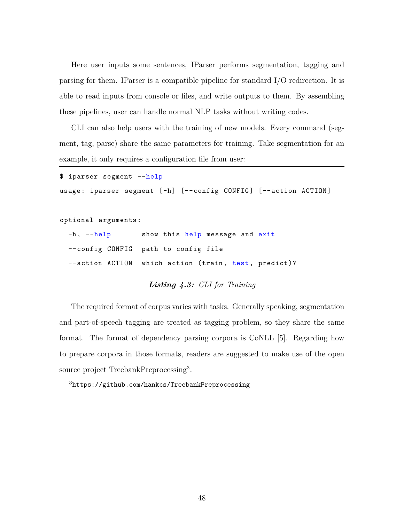Here user inputs some sentences, IParser performs segmentation, tagging and parsing for them. IParser is a compatible pipeline for standard I/O redirection. It is able to read inputs from console or files, and write outputs to them. By assembling these pipelines, user can handle normal NLP tasks without writing codes.

CLI can also help users with the training of new models. Every command (segment, tag, parse) share the same parameters for training. Take segmentation for an example, it only requires a configuration file from user:

| \$ iparser segment --help |                                                                 |
|---------------------------|-----------------------------------------------------------------|
|                           | usage: iparser segment [-h] [--config CONFIG] [--action ACTION] |
|                           |                                                                 |
| optional arguments:       |                                                                 |
|                           | -h, --help show this help message and exit                      |
|                           | --config CONFIG path to config file                             |
|                           | --action ACTION which action (train, test, predict)?            |

### *Listing 4.3: CLI for Training*

The required format of corpus varies with tasks. Generally speaking, segmentation and part-of-speech tagging are treated as tagging problem, so they share the same format. The format of dependency parsing corpora is CoNLL [5]. Regarding how to prepare corpora in those formats, readers are suggested to make use of the open source project TreebankPreprocessing<sup>3</sup>.

<sup>3</sup>https://github.com/hankcs/TreebankPreprocessing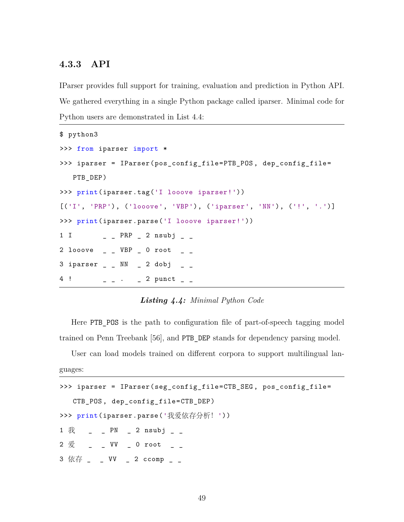## **4.3.3 API**

IParser provides full support for training, evaluation and prediction in Python API. We gathered everything in a single Python package called iparser. Minimal code for Python users are demonstrated in List 4.4:

```
$ python3
>>> from iparser import *
>>> iparser = IParser(pos_config_file=PTB_POS , dep_config_file=
    PTB_DEP)
>>> print(iparser.tag('I looove iparser!'))
[('I', 'PRP'), ('looove', 'VBP'), ('iparser', 'NN'), ('!', '.')]
>>> print(iparser.parse('I looove iparser!'))
1 I _ _ PRP _ 2 nsubj _ _
2 looove \overline{\phantom{a}} \overline{\phantom{a}} \overline{\phantom{a}} VBP \overline{\phantom{a}} 0 root \overline{\phantom{a}} \overline{\phantom{a}}3 iparser \angle \angle NN \angle 2 dobj \angle \angle4! - - - 2 punct -
```
#### *Listing 4.4: Minimal Python Code*

Here PTB POS is the path to configuration file of part-of-speech tagging model trained on Penn Treebank [56], and PTB\_DEP stands for dependency parsing model.

User can load models trained on different corpora to support multilingual languages:

|  |  |  | >>> iparser = IParser(seg_config_file=CTB_SEG, pos_config_file=                                                                                                                                                                                                                                                       |  |
|--|--|--|-----------------------------------------------------------------------------------------------------------------------------------------------------------------------------------------------------------------------------------------------------------------------------------------------------------------------|--|
|  |  |  | CTB_POS, dep_config_file=CTB_DEP)                                                                                                                                                                                                                                                                                     |  |
|  |  |  | >>> print(iparser.parse('我爱依存分析! '))                                                                                                                                                                                                                                                                                  |  |
|  |  |  | 1 $\frac{2}{3}$ $\frac{1}{3}$ $\frac{1}{2}$ $\frac{1}{2}$ $\frac{1}{2}$ $\frac{1}{2}$ $\frac{1}{2}$ $\frac{1}{2}$ $\frac{1}{2}$ $\frac{1}{2}$ $\frac{1}{2}$ $\frac{1}{2}$ $\frac{1}{2}$ $\frac{1}{2}$ $\frac{1}{2}$ $\frac{1}{2}$ $\frac{1}{2}$ $\frac{1}{2}$ $\frac{1}{2}$ $\frac{1}{2}$ $\frac{1}{2}$ $\frac{1}{2}$ |  |
|  |  |  | 2 $\frac{2}{3}$ $\frac{1}{2}$ $\frac{1}{2}$ VV $\frac{1}{2}$ 0 root $\frac{1}{2}$ $\frac{1}{2}$                                                                                                                                                                                                                       |  |
|  |  |  | 3 依存 _ _ VV _ 2 ccomp _ _                                                                                                                                                                                                                                                                                             |  |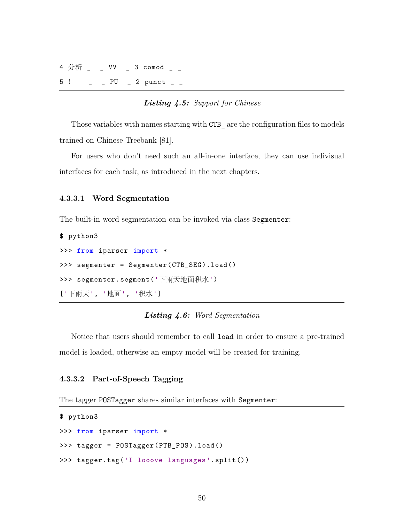```
4 分析 _ _ VV _ 3 comod _ _
5 ! _{-} _{-} PU _{-} 2 punct _{-}
```
#### *Listing 4.5: Support for Chinese*

Those variables with names starting with CTB\_ are the configuration files to models trained on Chinese Treebank [81].

For users who don't need such an all-in-one interface, they can use indivisual interfaces for each task, as introduced in the next chapters.

#### **4.3.3.1 Word Segmentation**

The built-in word segmentation can be invoked via class Segmenter:

```
$ python3
>>> from iparser import *
>>> segmenter = Segmenter(CTB_SEG).load()
>>> segmenter.segment('下雨天地面积水')
['下⾬天', '地⾯', '积⽔']
```
*Listing 4.6: Word Segmentation*

Notice that users should remember to call load in order to ensure a pre-trained model is loaded, otherwise an empty model will be created for training.

#### **4.3.3.2 Part-of-Speech Tagging**

The tagger POSTagger shares similar interfaces with Segmenter:

```
$ python3
>>> from iparser import *
>>> tagger = POSTagger(PTB_POS).load()
>>> tagger.tag('I looove languages'.split())
```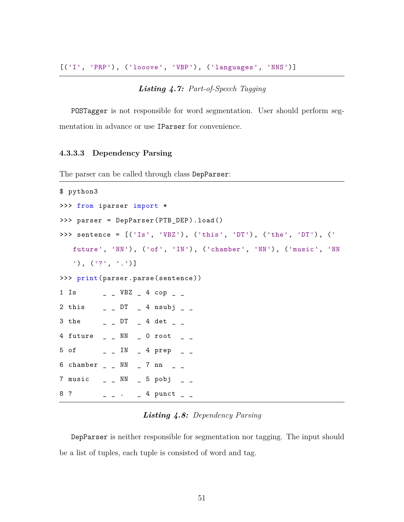[('I', 'PRP'), ('looove', 'VBP'), ('languages', 'NNS')]

#### *Listing 4.7: Part-of-Speech Tagging*

POSTagger is not responsible for word segmentation. User should perform segmentation in advance or use IParser for convenience.

#### **4.3.3.3 Dependency Parsing**

The parser can be called through class DepParser:

```
$ python3
>>> from iparser import *
>>> parser = DepParser(PTB_DEP).load()
>>> sentence = [('Is', 'VBZ'), ('this', 'DT'), ('the', 'DT'), ('
    future', 'NN'), ('of', 'IN'), ('chamber', 'NN'), ('music', 'NN
    '), ('?', '.')]
>>> print(parser.parse(sentence))
1 Is \qquad \qquad -1 VBZ \qquad 4 cop \qquad \qquad2 this \angle \angle DT \angle 4 nsubj \angle \angle3 the \qquad \qquad \_ DT \qquad 4 det \qquad \_4 future _ _ NN _ 0 root _ _
5 of \qquad \qquad -1N - 4 prep \qquad \qquad -6 chamber _ _ _ NN _ 7 nn _ _7 \text{ music } - \text{NN} - 5 \text{ pobj } -8 ? \qquad \qquad - \qquad - \qquad \qquad - 4 punct \qquad \qquad -
```
#### *Listing 4.8: Dependency Parsing*

DepParser is neither responsible for segmentation nor tagging. The input should be a list of tuples, each tuple is consisted of word and tag.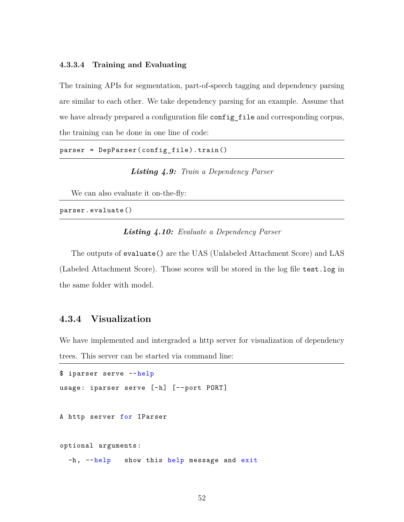#### **4.3.3.4 Training and Evaluating**

The training APIs for segmentation, part-of-speech tagging and dependency parsing are similar to each other. We take dependency parsing for an example. Assume that we have already prepared a configuration file configuration and corresponding corpus, the training can be done in one line of code:

parser = DepParser(config\_file).train()

*Listing 4.9: Train a Dependency Parser*

We can also evaluate it on-the-fly:

parser.evaluate()

#### *Listing 4.10: Evaluate a Dependency Parser*

The outputs of evaluate() are the UAS (Unlabeled Attachment Score) and LAS (Labeled Attachment Score). Those scores will be stored in the log file test.log in the same folder with model.

## **4.3.4 Visualization**

We have implemented and intergraded a http server for visualization of dependency trees. This server can be started via command line:

```
$ iparser serve --help
usage: iparser serve [-h] [--port PORT]
A http server for IParser
optional arguments:
  -h, --help show this help message and exit
```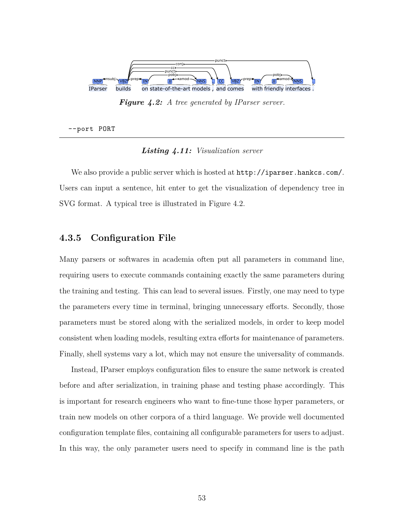

*Figure 4.2: A tree generated by IParser server.*

--port PORT

#### *Listing 4.11: Visualization server*

We also provide a public server which is hosted at http://iparser.hankcs.com/. Users can input a sentence, hit enter to get the visualization of dependency tree in SVG format. A typical tree is illustrated in Figure 4.2.

#### **4.3.5 Configuration File**

Many parsers or softwares in academia often put all parameters in command line, requiring users to execute commands containing exactly the same parameters during the training and testing. This can lead to several issues. Firstly, one may need to type the parameters every time in terminal, bringing unnecessary efforts. Secondly, those parameters must be stored along with the serialized models, in order to keep model consistent when loading models, resulting extra efforts for maintenance of parameters. Finally, shell systems vary a lot, which may not ensure the universality of commands.

Instead, IParser employs configuration files to ensure the same network is created before and after serialization, in training phase and testing phase accordingly. This is important for research engineers who want to fine-tune those hyper parameters, or train new models on other corpora of a third language. We provide well documented configuration template files, containing all configurable parameters for users to adjust. In this way, the only parameter users need to specify in command line is the path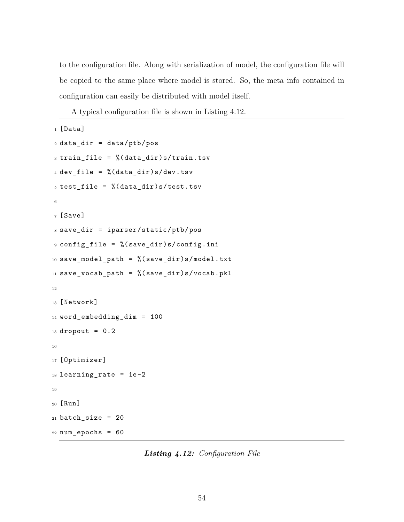to the configuration file. Along with serialization of model, the configuration file will be copied to the same place where model is stored. So, the meta info contained in configuration can easily be distributed with model itself.

A typical configuration file is shown in Listing 4.12.

```
1 [Data]
2 data_dir = data/ptb/pos
_3 train_file = \frac{9}{6}(data_dir)s/train.tsv
4 dev_file = % (data_dir)s/dev.tsv
5 test_file = % (data_dir)s/test.tsv
6
7 [Save]
8 save_dir = iparser/static/ptb/pos
9 config_file = %(save_dir)s/config.ini
10 save_model_path = %(save_dir)s/model.txt
11 save_vocab_path = \% (save_dir)s/vocab.pkl
12
13 [Network]
14 word_embedding_dim = 100
15 dropout = 0.2
16
17 [Optimizer]
18 learning_rate = 1e-219
20 [Run]
21 batch_size = 20
22 num_epochs = 60
```
*Listing 4.12: Configuration File*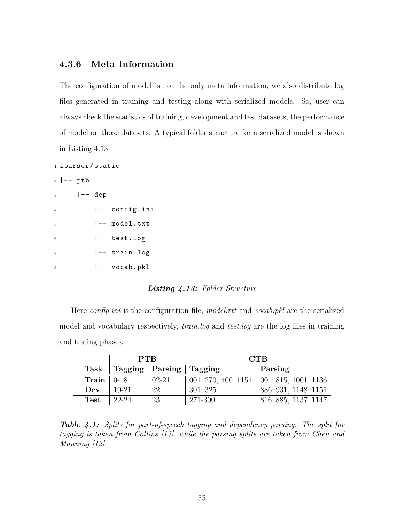## **4.3.6 Meta Information**

The configuration of model is not the only meta information, we also distribute log files generated in training and testing along with serialized models. So, user can always check the statistics of training, development and test datasets, the performance of model on those datasets. A typical folder structure for a serialized model is shown in Listing 4.13.

```
1 iparser/static
2 |-- ptb
3 \qquad \qquad \vert --\vert \text{dep} \vert4 |-- config.ini
5 |-- model.txt
6 |-- test.log
7 |-- train.log
8 |-- vocab.pkl
```
#### *Listing 4.13: Folder Structure*

Here *config.ini* is the configuration file, *model.txt* and *vocab.pkl* are the serialized model and vocabulary respectively, *train.log* and *test.log* are the log files in training and testing phases.

|                          | <b>PTB</b> |                                      | <b>CTB</b>  |                                        |  |  |
|--------------------------|------------|--------------------------------------|-------------|----------------------------------------|--|--|
| Task                     |            | $\text{Tagging}$   Parsing   Tagging |             | Parsing                                |  |  |
| Train $\vert 0.18 \vert$ |            | $02 - 21$                            |             | 001-270, 400-1151   001-815, 1001-1136 |  |  |
| Dev                      | 19-21      | 22                                   | $301 - 325$ | 886-931, 1148-1151                     |  |  |
| Test                     | $22 - 24$  | 23                                   | 271-300     | 816-885, 1137-1147                     |  |  |

*Table 4.1: Splits for part-of-speech tagging and dependency parsing. The split for tagging is taken from Collins [17], while the parsing splits are taken from Chen and Manning [12].*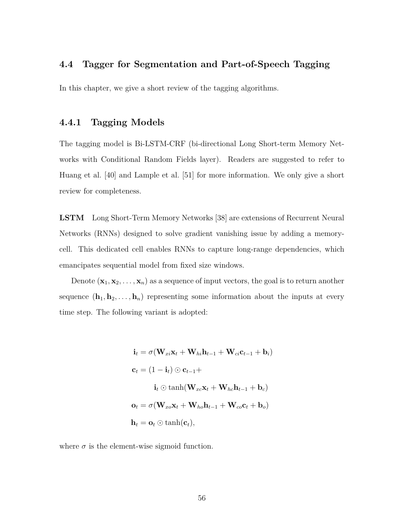## **4.4 Tagger for Segmentation and Part-of-Speech Tagging**

In this chapter, we give a short review of the tagging algorithms.

## **4.4.1 Tagging Models**

The tagging model is Bi-LSTM-CRF (bi-directional Long Short-term Memory Networks with Conditional Random Fields layer). Readers are suggested to refer to Huang et al. [40] and Lample et al. [51] for more information. We only give a short review for completeness.

**LSTM** Long Short-Term Memory Networks [38] are extensions of Recurrent Neural Networks (RNNs) designed to solve gradient vanishing issue by adding a memorycell. This dedicated cell enables RNNs to capture long-range dependencies, which emancipates sequential model from fixed size windows.

Denote  $(\mathbf{x}_1, \mathbf{x}_2, \dots, \mathbf{x}_n)$  as a sequence of input vectors, the goal is to return another sequence  $(\mathbf{h}_1, \mathbf{h}_2, \ldots, \mathbf{h}_n)$  representing some information about the inputs at every time step. The following variant is adopted:

> $\mathbf{i}_t = \sigma(\mathbf{W}_{xi}\mathbf{x}_t + \mathbf{W}_{hi}\mathbf{h}_{t-1} + \mathbf{W}_{ci}\mathbf{c}_{t-1} + \mathbf{b}_i)$  $c_t = (1 - i_t) \odot c_{t-1} +$  $\mathbf{i}_t \odot \tanh(\mathbf{W}_{xc} \mathbf{x}_t + \mathbf{W}_{hc} \mathbf{h}_{t-1} + \mathbf{b}_c)$  $\mathbf{o}_t = \sigma(\mathbf{W}_{xo} \mathbf{x}_t + \mathbf{W}_{ho} \mathbf{h}_{t-1} + \mathbf{W}_{co} \mathbf{c}_t + \mathbf{b}_o)$  $\mathbf{h}_t = \mathbf{o}_t \odot \tanh(\mathbf{c}_t)$ ,

where  $\sigma$  is the element-wise sigmoid function.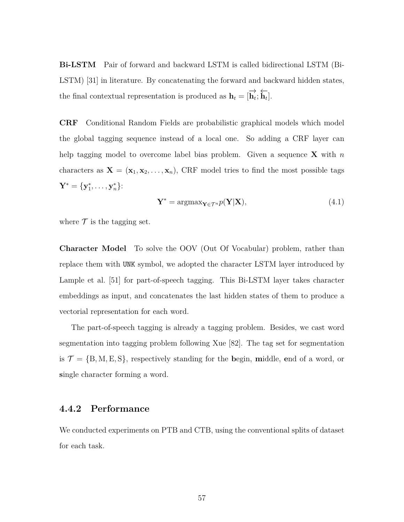**Bi-LSTM** Pair of forward and backward LSTM is called bidirectional LSTM (Bi-LSTM) [31] in literature. By concatenating the forward and backward hidden states, the final contextual representation is produced as  $\mathbf{h}_t = [\overrightarrow{\mathbf{h}_t}; \overleftarrow{\mathbf{h}_t}].$ 

**CRF** Conditional Random Fields are probabilistic graphical models which model the global tagging sequence instead of a local one. So adding a CRF layer can help tagging model to overcome label bias problem. Given a sequence **X** with *n* characters as  $\mathbf{X} = (\mathbf{x}_1, \mathbf{x}_2, \dots, \mathbf{x}_n)$ , CRF model tries to find the most possible tags  $\mathbf{Y}^{*} = \{ \mathbf{y}^{*}_1, \dots, \mathbf{y}^{*}_n \}$ :

$$
\mathbf{Y}^* = \operatorname{argmax}_{\mathbf{Y} \in \mathcal{T}^n} p(\mathbf{Y}|\mathbf{X}),\tag{4.1}
$$

where  $\mathcal T$  is the tagging set.

**Character Model** To solve the OOV (Out Of Vocabular) problem, rather than replace them with UNK symbol, we adopted the character LSTM layer introduced by Lample et al. [51] for part-of-speech tagging. This Bi-LSTM layer takes character embeddings as input, and concatenates the last hidden states of them to produce a vectorial representation for each word.

The part-of-speech tagging is already a tagging problem. Besides, we cast word segmentation into tagging problem following Xue [82]. The tag set for segmentation is  $\mathcal{T} = \{B, M, E, S\}$ , respectively standing for the **b**egin, **m**iddle, **e**nd of a word, or **s**ingle character forming a word.

#### **4.4.2 Performance**

We conducted experiments on PTB and CTB, using the conventional splits of dataset for each task.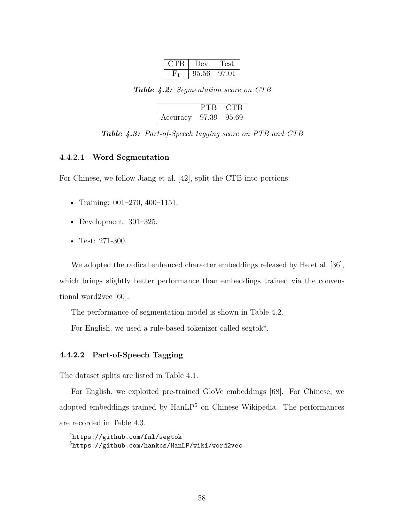| Dev   | LPST. |
|-------|-------|
| 95.56 | 97.01 |

*Table 4.2: Segmentation score on CTB*

|          |        | CTB    |
|----------|--------|--------|
| Accuracy | -97.39 | -95.69 |

*Table 4.3: Part-of-Speech tagging score on PTB and CTB*

#### **4.4.2.1 Word Segmentation**

For Chinese, we follow Jiang et al. [42], split the CTB into portions:

- Training: 001-270, 400-1151.
- Development: 301–325.
- Test: 271-300.

We adopted the radical enhanced character embeddings released by He et al. [36], which brings slightly better performance than embeddings trained via the conventional word2vec [60].

The performance of segmentation model is shown in Table 4.2.

For English, we used a rule-based tokenizer called segtok<sup>4</sup>.

#### **4.4.2.2 Part-of-Speech Tagging**

The dataset splits are listed in Table 4.1.

For English, we exploited pre-trained GloVe embeddings [68]. For Chinese, we adopted embeddings trained by  $\text{HanLP}^5$  on Chinese Wikipedia. The performances are recorded in Table 4.3.

<sup>4</sup>https://github.com/fnl/segtok

<sup>5</sup>https://github.com/hankcs/HanLP/wiki/word2vec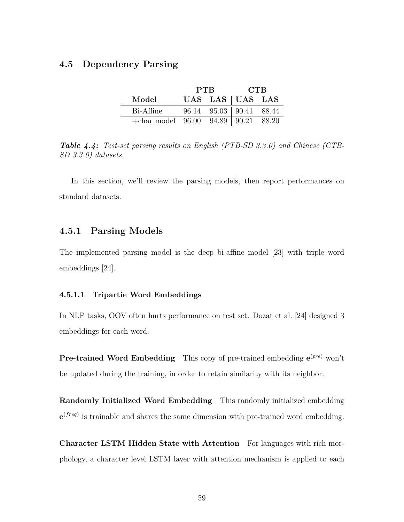## **4.5 Dependency Parsing**

|                                              | <b>PTB</b> | <b>CTB</b>              |  |  |
|----------------------------------------------|------------|-------------------------|--|--|
| Model                                        |            | UAS LAS UAS LAS         |  |  |
| Bi-Affine                                    |            | 96.14 95.03 90.41 88.44 |  |  |
| $+\text{char model}$ 96.00 94.89 90.21 88.20 |            |                         |  |  |

*Table 4.4: Test-set parsing results on English (PTB-SD 3.3.0) and Chinese (CTB-SD 3.3.0) datasets.*

In this section, we'll review the parsing models, then report performances on standard datasets.

#### **4.5.1 Parsing Models**

The implemented parsing model is the deep bi-affine model [23] with triple word embeddings [24].

#### **4.5.1.1 Tripartie Word Embeddings**

In NLP tasks, OOV often hurts performance on test set. Dozat et al. [24] designed 3 embeddings for each word.

**Pre-trained Word Embedding** This copy of pre-trained embedding  $e^{(pre)}$  won't be updated during the training, in order to retain similarity with its neighbor.

**Randomly Initialized Word Embedding** This randomly initialized embedding **e** (*freq*) is trainable and shares the same dimension with pre-trained word embedding.

**Character LSTM Hidden State with Attention** For languages with rich morphology, a character level LSTM layer with attention mechanism is applied to each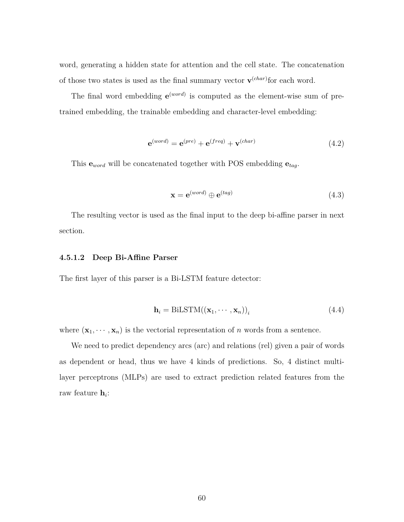word, generating a hidden state for attention and the cell state. The concatenation of those two states is used as the final summary vector  $\mathbf{v}^{(char)}$  for each word.

The final word embedding  $e^{(word)}$  is computed as the element-wise sum of pretrained embedding, the trainable embedding and character-level embedding:

$$
\mathbf{e}^{(word)} = \mathbf{e}^{(pre)} + \mathbf{e}^{(freq)} + \mathbf{v}^{(char)} \tag{4.2}
$$

This **e***word* will be concatenated together with POS embedding **e***tag*.

$$
\mathbf{x} = e^{(word)} \oplus e^{(tag)} \tag{4.3}
$$

The resulting vector is used as the final input to the deep bi-affine parser in next section.

#### **4.5.1.2 Deep Bi-Affine Parser**

The first layer of this parser is a Bi-LSTM feature detector:

$$
\mathbf{h}_{i} = \text{BiLSTM}((\mathbf{x}_{1}, \cdots, \mathbf{x}_{n}))_{i}
$$
\n(4.4)

where  $(\mathbf{x}_1, \dots, \mathbf{x}_n)$  is the vectorial representation of *n* words from a sentence.

We need to predict dependency arcs (arc) and relations (rel) given a pair of words as dependent or head, thus we have 4 kinds of predictions. So, 4 distinct multilayer perceptrons (MLPs) are used to extract prediction related features from the raw feature **h***<sup>i</sup>* :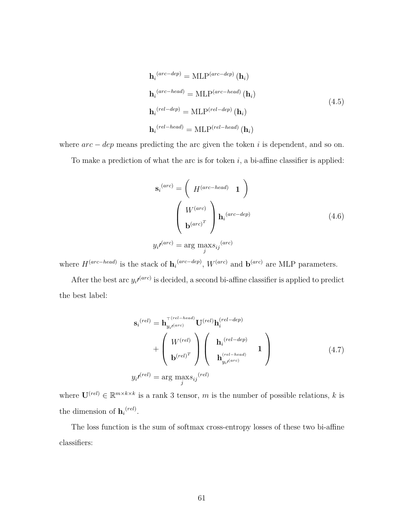$$
\mathbf{h}_{i}^{(arc-dep)} = \text{MLP}^{(arc-dep)} (\mathbf{h}_{i})
$$
\n
$$
\mathbf{h}_{i}^{(arc-head)} = \text{MLP}^{(arc-head)} (\mathbf{h}_{i})
$$
\n
$$
\mathbf{h}_{i}^{(rel-dep)} = \text{MLP}^{(rel-dep)} (\mathbf{h}_{i})
$$
\n
$$
\mathbf{h}_{i}^{(rel-head)} = \text{MLP}^{(rel-head)} (\mathbf{h}_{i})
$$
\n(4.5)

where  $arc - dep$  means predicting the arc given the token *i* is dependent, and so on.

To make a prediction of what the arc is for token *i*, a bi-affine classifier is applied:

$$
\mathbf{s}_{i}^{(arc)} = \left( H^{(arc-head)} \mathbf{1} \right)
$$

$$
\left( \begin{array}{c} W^{(arc)} \\ \mathbf{b}^{(arc)} \end{array} \right) \mathbf{h}_{i}^{(arc-dep)} \tag{4.6}
$$

$$
y_{i} \mathbf{v}^{(arc)} = \arg \max_{j} s_{ij}^{(arc)}
$$

where *H*(*arc−head*) is the stack of **h***<sup>i</sup>* (*arc−dep*) , *W*(*arc*) and **b** (*arc*) are MLP parameters.

After the best arc  $y_i\prime^{(arc)}$  is decided, a second bi-affine classifier is applied to predict the best label:

$$
\mathbf{s}_{i}^{(rel)} = \mathbf{h}_{y_{i}^{(arc)}}^{\top (rel - head)} \mathbf{U}^{(rel)} \mathbf{h}_{i}^{(rel - dep)} + \begin{pmatrix} W^{(rel)} \\ \mathbf{b}^{(rel)} \end{pmatrix} \begin{pmatrix} \mathbf{h}_{i}^{(rel - dep)} \\ \mathbf{h}_{i}^{(rel - head)} \end{pmatrix} + \mathbf{b}_{y_{i}^{(rel)}}^{\top (rel - head)} \mathbf{h}_{y_{i}^{(arc)}}^{\top (rel - head)} \mathbf{h}_{y_{i}^{(arc)}}^{\top (rel - head)} \end{pmatrix}
$$
(4.7)

where  $\mathbf{U}^{(rel)} \in \mathbb{R}^{m \times k \times k}$  is a rank 3 tensor, *m* is the number of possible relations, *k* is the dimension of  $h_i^{(rel)}$ .

The loss function is the sum of softmax cross-entropy losses of these two bi-affine classifiers: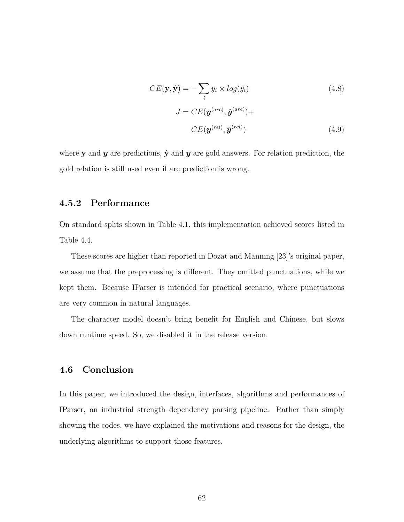$$
CE(\mathbf{y}, \hat{\mathbf{y}}) = -\sum_{i} y_i \times log(\hat{y}_i)
$$
(4.8)  

$$
J = CE(\mathbf{y}^{(arc)}, \hat{\mathbf{y}}^{(arc)}) +
$$

$$
CE(\mathbf{y}^{(rel)}, \hat{\mathbf{y}}^{(rel)})
$$
(4.9)

where **y** and **y** are predictions,  $\hat{y}$  and **y** are gold answers. For relation prediction, the gold relation is still used even if arc prediction is wrong.

### **4.5.2 Performance**

On standard splits shown in Table 4.1, this implementation achieved scores listed in Table 4.4.

These scores are higher than reported in Dozat and Manning [23]'s original paper, we assume that the preprocessing is different. They omitted punctuations, while we kept them. Because IParser is intended for practical scenario, where punctuations are very common in natural languages.

The character model doesn't bring benefit for English and Chinese, but slows down runtime speed. So, we disabled it in the release version.

## **4.6 Conclusion**

In this paper, we introduced the design, interfaces, algorithms and performances of IParser, an industrial strength dependency parsing pipeline. Rather than simply showing the codes, we have explained the motivations and reasons for the design, the underlying algorithms to support those features.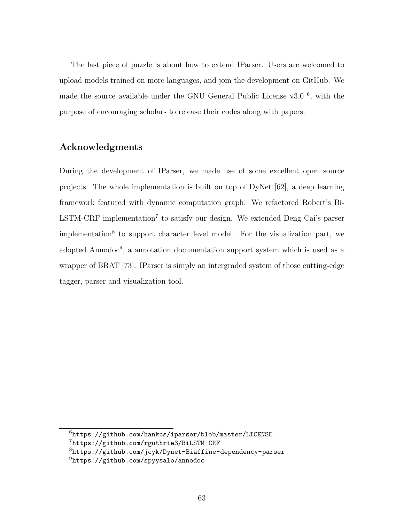The last piece of puzzle is about how to extend IParser. Users are welcomed to upload models trained on more languages, and join the development on GitHub. We made the source available under the GNU General Public License v3.0<sup>6</sup>, with the purpose of encouraging scholars to release their codes along with papers.

## **Acknowledgments**

During the development of IParser, we made use of some excellent open source projects. The whole implementation is built on top of DyNet [62], a deep learning framework featured with dynamic computation graph. We refactored Robert's Bi- $LSTM-CRF$  implementation<sup>7</sup> to satisfy our design. We extended Deng Cai's parser implementation<sup>8</sup> to support character level model. For the visualization part, we adopted Annodoc<sup>9</sup>, a annotation documentation support system which is used as a wrapper of BRAT [73]. IParser is simply an intergraded system of those cutting-edge tagger, parser and visualization tool.

<sup>6</sup>https://github.com/hankcs/iparser/blob/master/LICENSE

<sup>7</sup>https://github.com/rguthrie3/BiLSTM-CRF

<sup>8</sup>https://github.com/jcyk/Dynet-Biaffine-dependency-parser

<sup>9</sup>https://github.com/spyysalo/annodoc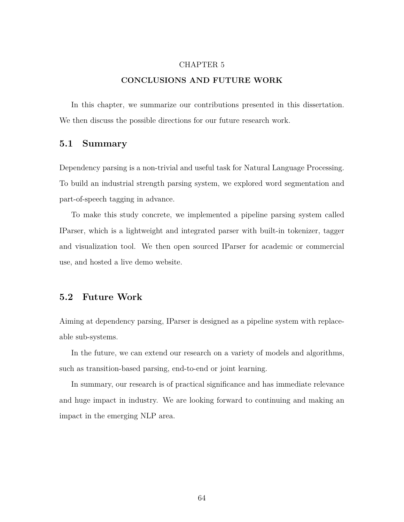#### CHAPTER 5

## **CONCLUSIONS AND FUTURE WORK**

In this chapter, we summarize our contributions presented in this dissertation. We then discuss the possible directions for our future research work.

### **5.1 Summary**

Dependency parsing is a non-trivial and useful task for Natural Language Processing. To build an industrial strength parsing system, we explored word segmentation and part-of-speech tagging in advance.

To make this study concrete, we implemented a pipeline parsing system called IParser, which is a lightweight and integrated parser with built-in tokenizer, tagger and visualization tool. We then open sourced IParser for academic or commercial use, and hosted a live demo website.

# **5.2 Future Work**

Aiming at dependency parsing, IParser is designed as a pipeline system with replaceable sub-systems.

In the future, we can extend our research on a variety of models and algorithms, such as transition-based parsing, end-to-end or joint learning.

In summary, our research is of practical significance and has immediate relevance and huge impact in industry. We are looking forward to continuing and making an impact in the emerging NLP area.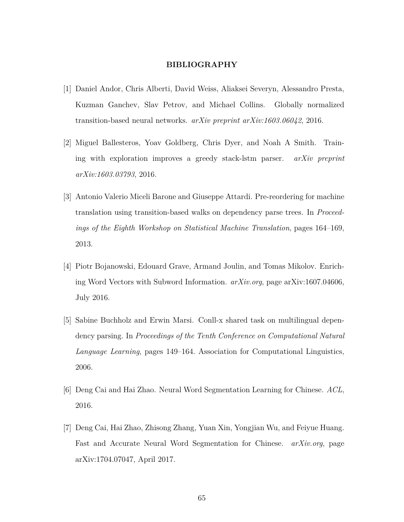#### **BIBLIOGRAPHY**

- [1] Daniel Andor, Chris Alberti, David Weiss, Aliaksei Severyn, Alessandro Presta, Kuzman Ganchev, Slav Petrov, and Michael Collins. Globally normalized transition-based neural networks. *arXiv preprint arXiv:1603.06042*, 2016.
- [2] Miguel Ballesteros, Yoav Goldberg, Chris Dyer, and Noah A Smith. Training with exploration improves a greedy stack-lstm parser. *arXiv preprint arXiv:1603.03793*, 2016.
- [3] Antonio Valerio Miceli Barone and Giuseppe Attardi. Pre-reordering for machine translation using transition-based walks on dependency parse trees. In *Proceedings of the Eighth Workshop on Statistical Machine Translation*, pages 164–169, 2013.
- [4] Piotr Bojanowski, Edouard Grave, Armand Joulin, and Tomas Mikolov. Enriching Word Vectors with Subword Information. *arXiv.org*, page arXiv:1607.04606, July 2016.
- [5] Sabine Buchholz and Erwin Marsi. Conll-x shared task on multilingual dependency parsing. In *Proceedings of the Tenth Conference on Computational Natural Language Learning*, pages 149–164. Association for Computational Linguistics, 2006.
- [6] Deng Cai and Hai Zhao. Neural Word Segmentation Learning for Chinese. *ACL*, 2016.
- [7] Deng Cai, Hai Zhao, Zhisong Zhang, Yuan Xin, Yongjian Wu, and Feiyue Huang. Fast and Accurate Neural Word Segmentation for Chinese. *arXiv.org*, page arXiv:1704.07047, April 2017.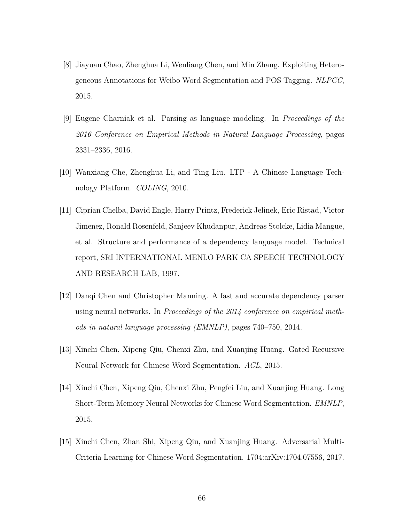- [8] Jiayuan Chao, Zhenghua Li, Wenliang Chen, and Min Zhang. Exploiting Heterogeneous Annotations for Weibo Word Segmentation and POS Tagging. *NLPCC*, 2015.
- [9] Eugene Charniak et al. Parsing as language modeling. In *Proceedings of the 2016 Conference on Empirical Methods in Natural Language Processing*, pages 2331–2336, 2016.
- [10] Wanxiang Che, Zhenghua Li, and Ting Liu. LTP A Chinese Language Technology Platform. *COLING*, 2010.
- [11] Ciprian Chelba, David Engle, Harry Printz, Frederick Jelinek, Eric Ristad, Victor Jimenez, Ronald Rosenfeld, Sanjeev Khudanpur, Andreas Stolcke, Lidia Mangue, et al. Structure and performance of a dependency language model. Technical report, SRI INTERNATIONAL MENLO PARK CA SPEECH TECHNOLOGY AND RESEARCH LAB, 1997.
- [12] Danqi Chen and Christopher Manning. A fast and accurate dependency parser using neural networks. In *Proceedings of the 2014 conference on empirical methods in natural language processing (EMNLP)*, pages 740–750, 2014.
- [13] Xinchi Chen, Xipeng Qiu, Chenxi Zhu, and Xuanjing Huang. Gated Recursive Neural Network for Chinese Word Segmentation. *ACL*, 2015.
- [14] Xinchi Chen, Xipeng Qiu, Chenxi Zhu, Pengfei Liu, and Xuanjing Huang. Long Short-Term Memory Neural Networks for Chinese Word Segmentation. *EMNLP*, 2015.
- [15] Xinchi Chen, Zhan Shi, Xipeng Qiu, and Xuanjing Huang. Adversarial Multi-Criteria Learning for Chinese Word Segmentation. 1704:arXiv:1704.07556, 2017.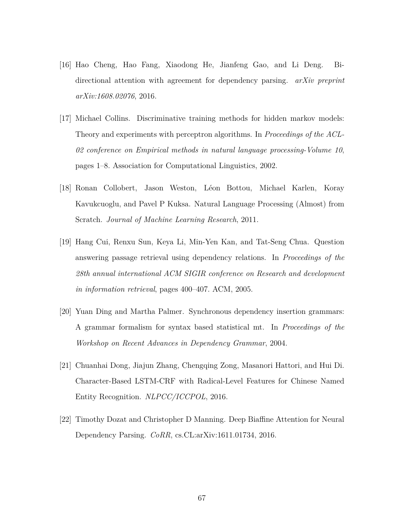- [16] Hao Cheng, Hao Fang, Xiaodong He, Jianfeng Gao, and Li Deng. Bidirectional attention with agreement for dependency parsing. *arXiv preprint arXiv:1608.02076*, 2016.
- [17] Michael Collins. Discriminative training methods for hidden markov models: Theory and experiments with perceptron algorithms. In *Proceedings of the ACL-02 conference on Empirical methods in natural language processing-Volume 10*, pages 1–8. Association for Computational Linguistics, 2002.
- [18] Ronan Collobert, Jason Weston, Léon Bottou, Michael Karlen, Koray Kavukcuoglu, and Pavel P Kuksa. Natural Language Processing (Almost) from Scratch. *Journal of Machine Learning Research*, 2011.
- [19] Hang Cui, Renxu Sun, Keya Li, Min-Yen Kan, and Tat-Seng Chua. Question answering passage retrieval using dependency relations. In *Proceedings of the 28th annual international ACM SIGIR conference on Research and development in information retrieval*, pages 400–407. ACM, 2005.
- [20] Yuan Ding and Martha Palmer. Synchronous dependency insertion grammars: A grammar formalism for syntax based statistical mt. In *Proceedings of the Workshop on Recent Advances in Dependency Grammar*, 2004.
- [21] Chuanhai Dong, Jiajun Zhang, Chengqing Zong, Masanori Hattori, and Hui Di. Character-Based LSTM-CRF with Radical-Level Features for Chinese Named Entity Recognition. *NLPCC/ICCPOL*, 2016.
- [22] Timothy Dozat and Christopher D Manning. Deep Biaffine Attention for Neural Dependency Parsing. *CoRR*, cs.CL:arXiv:1611.01734, 2016.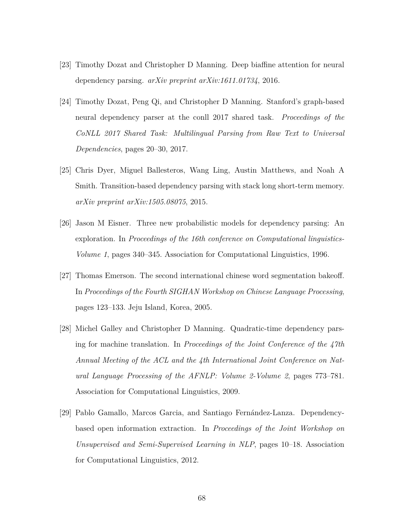- [23] Timothy Dozat and Christopher D Manning. Deep biaffine attention for neural dependency parsing. *arXiv preprint arXiv:1611.01734*, 2016.
- [24] Timothy Dozat, Peng Qi, and Christopher D Manning. Stanford's graph-based neural dependency parser at the conll 2017 shared task. *Proceedings of the CoNLL 2017 Shared Task: Multilingual Parsing from Raw Text to Universal Dependencies*, pages 20–30, 2017.
- [25] Chris Dyer, Miguel Ballesteros, Wang Ling, Austin Matthews, and Noah A Smith. Transition-based dependency parsing with stack long short-term memory. *arXiv preprint arXiv:1505.08075*, 2015.
- [26] Jason M Eisner. Three new probabilistic models for dependency parsing: An exploration. In *Proceedings of the 16th conference on Computational linguistics-Volume 1*, pages 340–345. Association for Computational Linguistics, 1996.
- [27] Thomas Emerson. The second international chinese word segmentation bakeoff. In *Proceedings of the Fourth SIGHAN Workshop on Chinese Language Processing*, pages 123–133. Jeju Island, Korea, 2005.
- [28] Michel Galley and Christopher D Manning. Quadratic-time dependency parsing for machine translation. In *Proceedings of the Joint Conference of the 47th Annual Meeting of the ACL and the 4th International Joint Conference on Natural Language Processing of the AFNLP: Volume 2-Volume 2*, pages 773–781. Association for Computational Linguistics, 2009.
- [29] Pablo Gamallo, Marcos Garcia, and Santiago Fernández-Lanza. Dependencybased open information extraction. In *Proceedings of the Joint Workshop on Unsupervised and Semi-Supervised Learning in NLP*, pages 10–18. Association for Computational Linguistics, 2012.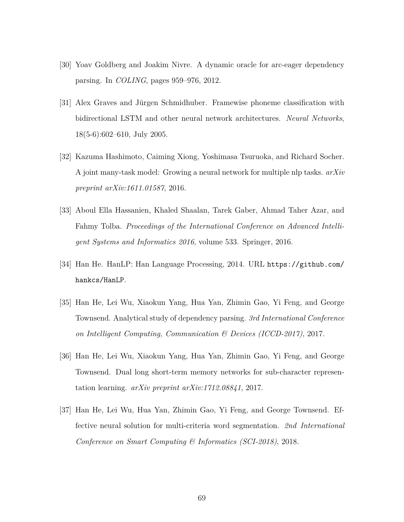- [30] Yoav Goldberg and Joakim Nivre. A dynamic oracle for arc-eager dependency parsing. In *COLING*, pages 959–976, 2012.
- [31] Alex Graves and Jürgen Schmidhuber. Framewise phoneme classification with bidirectional LSTM and other neural network architectures. *Neural Networks*, 18(5-6):602–610, July 2005.
- [32] Kazuma Hashimoto, Caiming Xiong, Yoshimasa Tsuruoka, and Richard Socher. A joint many-task model: Growing a neural network for multiple nlp tasks. *arXiv preprint arXiv:1611.01587*, 2016.
- [33] Aboul Ella Hassanien, Khaled Shaalan, Tarek Gaber, Ahmad Taher Azar, and Fahmy Tolba. *Proceedings of the International Conference on Advanced Intelligent Systems and Informatics 2016*, volume 533. Springer, 2016.
- [34] Han He. HanLP: Han Language Processing, 2014. URL https://github.com/ hankcs/HanLP.
- [35] Han He, Lei Wu, Xiaokun Yang, Hua Yan, Zhimin Gao, Yi Feng, and George Townsend. Analytical study of dependency parsing. *3rd International Conference on Intelligent Computing, Communication & Devices (ICCD-2017)*, 2017.
- [36] Han He, Lei Wu, Xiaokun Yang, Hua Yan, Zhimin Gao, Yi Feng, and George Townsend. Dual long short-term memory networks for sub-character representation learning. *arXiv preprint arXiv:1712.08841*, 2017.
- [37] Han He, Lei Wu, Hua Yan, Zhimin Gao, Yi Feng, and George Townsend. Effective neural solution for multi-criteria word segmentation. *2nd International Conference on Smart Computing & Informatics (SCI-2018)*, 2018.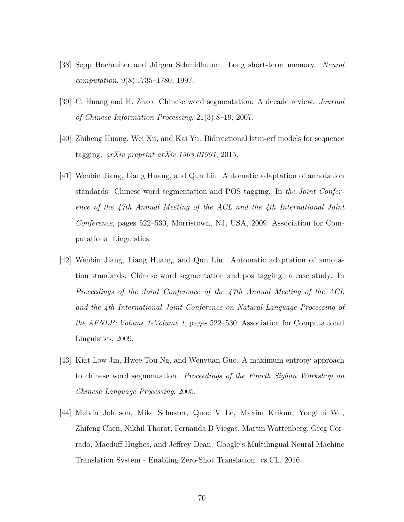- [38] Sepp Hochreiter and Jürgen Schmidhuber. Long short-term memory. *Neural computation*, 9(8):1735–1780, 1997.
- [39] C. Huang and H. Zhao. Chinese word segmentation: A decade review. *Journal of Chinese Information Processing*, 21(3):8–19, 2007.
- [40] Zhiheng Huang, Wei Xu, and Kai Yu. Bidirectional lstm-crf models for sequence tagging. *arXiv preprint arXiv:1508.01991*, 2015.
- [41] Wenbin Jiang, Liang Huang, and Qun Liu. Automatic adaptation of annotation standards: Chinese word segmentation and POS tagging. In *the Joint Conference of the 47th Annual Meeting of the ACL and the 4th International Joint Conference*, pages 522–530, Morristown, NJ, USA, 2009. Association for Computational Linguistics.
- [42] Wenbin Jiang, Liang Huang, and Qun Liu. Automatic adaptation of annotation standards: Chinese word segmentation and pos tagging: a case study. In *Proceedings of the Joint Conference of the 47th Annual Meeting of the ACL and the 4th International Joint Conference on Natural Language Processing of the AFNLP: Volume 1-Volume 1*, pages 522–530. Association for Computational Linguistics, 2009.
- [43] Kiat Low Jin, Hwee Tou Ng, and Wenyuan Guo. A maximum entropy approach to chinese word segmentation. *Proceedings of the Fourth Sighan Workshop on Chinese Language Processing*, 2005.
- [44] Melvin Johnson, Mike Schuster, Quoc V Le, Maxim Krikun, Yonghui Wu, Zhifeng Chen, Nikhil Thorat, Fernanda B Viégas, Martin Wattenberg, Greg Corrado, Macduff Hughes, and Jeffrey Dean. Google's Multilingual Neural Machine Translation System - Enabling Zero-Shot Translation. cs.CL, 2016.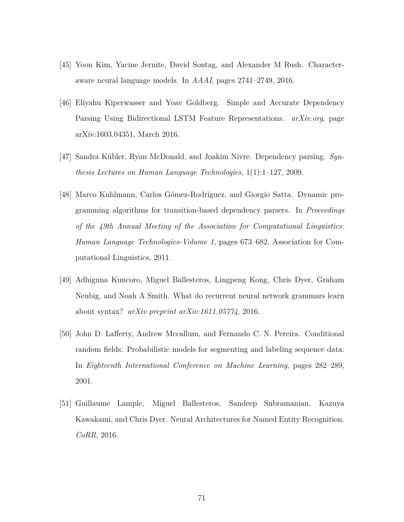- [45] Yoon Kim, Yacine Jernite, David Sontag, and Alexander M Rush. Characteraware neural language models. In *AAAI*, pages 2741–2749, 2016.
- [46] Eliyahu Kiperwasser and Yoav Goldberg. Simple and Accurate Dependency Parsing Using Bidirectional LSTM Feature Representations. *arXiv.org*, page arXiv:1603.04351, March 2016.
- [47] Sandra Kübler, Ryan McDonald, and Joakim Nivre. Dependency parsing. *Synthesis Lectures on Human Language Technologies*, 1(1):1–127, 2009.
- [48] Marco Kuhlmann, Carlos Gómez-Rodríguez, and Giorgio Satta. Dynamic programming algorithms for transition-based dependency parsers. In *Proceedings of the 49th Annual Meeting of the Association for Computational Linguistics: Human Language Technologies-Volume 1*, pages 673–682. Association for Computational Linguistics, 2011.
- [49] Adhiguna Kuncoro, Miguel Ballesteros, Lingpeng Kong, Chris Dyer, Graham Neubig, and Noah A Smith. What do recurrent neural network grammars learn about syntax? *arXiv preprint arXiv:1611.05774*, 2016.
- [50] John D. Lafferty, Andrew Mccallum, and Fernando C. N. Pereira. Conditional random fields: Probabilistic models for segmenting and labeling sequence data. In *Eighteenth International Conference on Machine Learning*, pages 282–289, 2001.
- [51] Guillaume Lample, Miguel Ballesteros, Sandeep Subramanian, Kazuya Kawakami, and Chris Dyer. Neural Architectures for Named Entity Recognition. *CoRR*, 2016.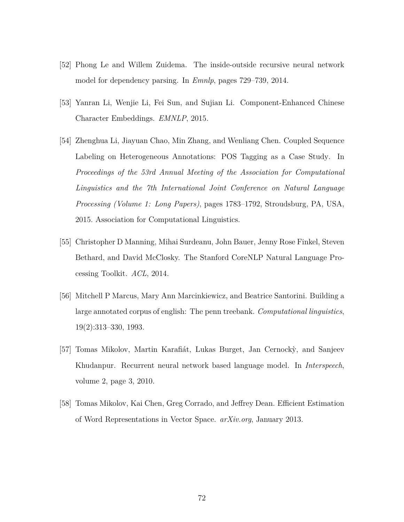- [52] Phong Le and Willem Zuidema. The inside-outside recursive neural network model for dependency parsing. In *Emnlp*, pages 729–739, 2014.
- [53] Yanran Li, Wenjie Li, Fei Sun, and Sujian Li. Component-Enhanced Chinese Character Embeddings. *EMNLP*, 2015.
- [54] Zhenghua Li, Jiayuan Chao, Min Zhang, and Wenliang Chen. Coupled Sequence Labeling on Heterogeneous Annotations: POS Tagging as a Case Study. In *Proceedings of the 53rd Annual Meeting of the Association for Computational Linguistics and the 7th International Joint Conference on Natural Language Processing (Volume 1: Long Papers)*, pages 1783–1792, Stroudsburg, PA, USA, 2015. Association for Computational Linguistics.
- [55] Christopher D Manning, Mihai Surdeanu, John Bauer, Jenny Rose Finkel, Steven Bethard, and David McClosky. The Stanford CoreNLP Natural Language Processing Toolkit. *ACL*, 2014.
- [56] Mitchell P Marcus, Mary Ann Marcinkiewicz, and Beatrice Santorini. Building a large annotated corpus of english: The penn treebank. *Computational linguistics*, 19(2):313–330, 1993.
- [57] Tomas Mikolov, Martin Karafiát, Lukas Burget, Jan Cernockỳ, and Sanjeev Khudanpur. Recurrent neural network based language model. In *Interspeech*, volume 2, page 3, 2010.
- [58] Tomas Mikolov, Kai Chen, Greg Corrado, and Jeffrey Dean. Efficient Estimation of Word Representations in Vector Space. *arXiv.org*, January 2013.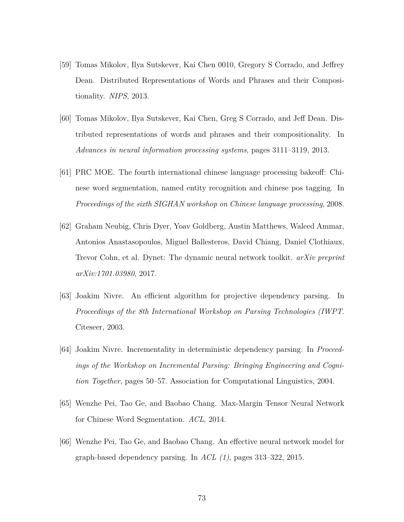- [59] Tomas Mikolov, Ilya Sutskever, Kai Chen 0010, Gregory S Corrado, and Jeffrey Dean. Distributed Representations of Words and Phrases and their Compositionality. *NIPS*, 2013.
- [60] Tomas Mikolov, Ilya Sutskever, Kai Chen, Greg S Corrado, and Jeff Dean. Distributed representations of words and phrases and their compositionality. In *Advances in neural information processing systems*, pages 3111–3119, 2013.
- [61] PRC MOE. The fourth international chinese language processing bakeoff: Chinese word segmentation, named entity recognition and chinese pos tagging. In *Proceedings of the sixth SIGHAN workshop on Chinese language processing*, 2008.
- [62] Graham Neubig, Chris Dyer, Yoav Goldberg, Austin Matthews, Waleed Ammar, Antonios Anastasopoulos, Miguel Ballesteros, David Chiang, Daniel Clothiaux, Trevor Cohn, et al. Dynet: The dynamic neural network toolkit. *arXiv preprint arXiv:1701.03980*, 2017.
- [63] Joakim Nivre. An efficient algorithm for projective dependency parsing. In *Proceedings of the 8th International Workshop on Parsing Technologies (IWPT*. Citeseer, 2003.
- [64] Joakim Nivre. Incrementality in deterministic dependency parsing. In *Proceedings of the Workshop on Incremental Parsing: Bringing Engineering and Cognition Together*, pages 50–57. Association for Computational Linguistics, 2004.
- [65] Wenzhe Pei, Tao Ge, and Baobao Chang. Max-Margin Tensor Neural Network for Chinese Word Segmentation. *ACL*, 2014.
- [66] Wenzhe Pei, Tao Ge, and Baobao Chang. An effective neural network model for graph-based dependency parsing. In *ACL (1)*, pages 313–322, 2015.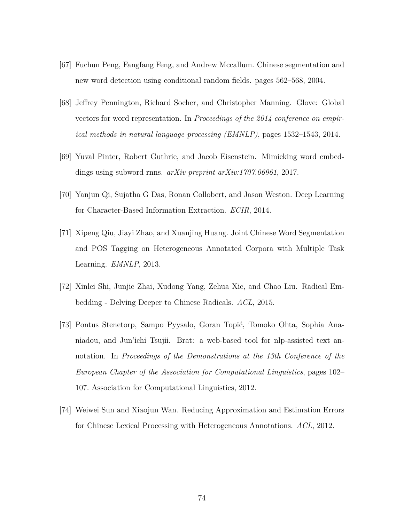- [67] Fuchun Peng, Fangfang Feng, and Andrew Mccallum. Chinese segmentation and new word detection using conditional random fields. pages 562–568, 2004.
- [68] Jeffrey Pennington, Richard Socher, and Christopher Manning. Glove: Global vectors for word representation. In *Proceedings of the 2014 conference on empirical methods in natural language processing (EMNLP)*, pages 1532–1543, 2014.
- [69] Yuval Pinter, Robert Guthrie, and Jacob Eisenstein. Mimicking word embeddings using subword rnns. *arXiv preprint arXiv:1707.06961*, 2017.
- [70] Yanjun Qi, Sujatha G Das, Ronan Collobert, and Jason Weston. Deep Learning for Character-Based Information Extraction. *ECIR*, 2014.
- [71] Xipeng Qiu, Jiayi Zhao, and Xuanjing Huang. Joint Chinese Word Segmentation and POS Tagging on Heterogeneous Annotated Corpora with Multiple Task Learning. *EMNLP*, 2013.
- [72] Xinlei Shi, Junjie Zhai, Xudong Yang, Zehua Xie, and Chao Liu. Radical Embedding - Delving Deeper to Chinese Radicals. *ACL*, 2015.
- [73] Pontus Stenetorp, Sampo Pyysalo, Goran Topić, Tomoko Ohta, Sophia Ananiadou, and Jun'ichi Tsujii. Brat: a web-based tool for nlp-assisted text annotation. In *Proceedings of the Demonstrations at the 13th Conference of the European Chapter of the Association for Computational Linguistics*, pages 102– 107. Association for Computational Linguistics, 2012.
- [74] Weiwei Sun and Xiaojun Wan. Reducing Approximation and Estimation Errors for Chinese Lexical Processing with Heterogeneous Annotations. *ACL*, 2012.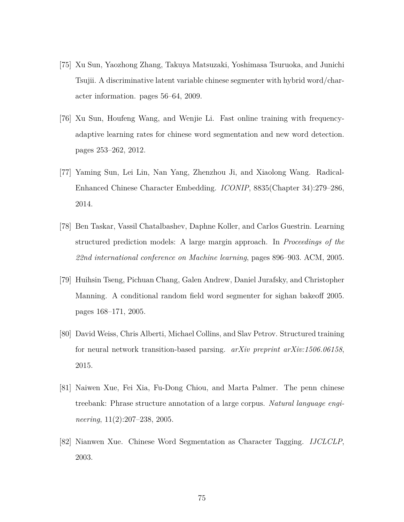- [75] Xu Sun, Yaozhong Zhang, Takuya Matsuzaki, Yoshimasa Tsuruoka, and Junichi Tsujii. A discriminative latent variable chinese segmenter with hybrid word/character information. pages 56–64, 2009.
- [76] Xu Sun, Houfeng Wang, and Wenjie Li. Fast online training with frequencyadaptive learning rates for chinese word segmentation and new word detection. pages 253–262, 2012.
- [77] Yaming Sun, Lei Lin, Nan Yang, Zhenzhou Ji, and Xiaolong Wang. Radical-Enhanced Chinese Character Embedding. *ICONIP*, 8835(Chapter 34):279–286, 2014.
- [78] Ben Taskar, Vassil Chatalbashev, Daphne Koller, and Carlos Guestrin. Learning structured prediction models: A large margin approach. In *Proceedings of the 22nd international conference on Machine learning*, pages 896–903. ACM, 2005.
- [79] Huihsin Tseng, Pichuan Chang, Galen Andrew, Daniel Jurafsky, and Christopher Manning. A conditional random field word segmenter for sighan bakeoff 2005. pages 168–171, 2005.
- [80] David Weiss, Chris Alberti, Michael Collins, and Slav Petrov. Structured training for neural network transition-based parsing. *arXiv preprint arXiv:1506.06158*, 2015.
- [81] Naiwen Xue, Fei Xia, Fu-Dong Chiou, and Marta Palmer. The penn chinese treebank: Phrase structure annotation of a large corpus. *Natural language engineering*, 11(2):207–238, 2005.
- [82] Nianwen Xue. Chinese Word Segmentation as Character Tagging. *IJCLCLP*, 2003.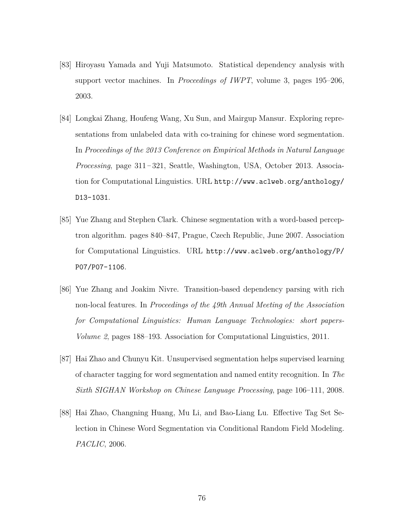- [83] Hiroyasu Yamada and Yuji Matsumoto. Statistical dependency analysis with support vector machines. In *Proceedings of IWPT*, volume 3, pages 195–206, 2003.
- [84] Longkai Zhang, Houfeng Wang, Xu Sun, and Mairgup Mansur. Exploring representations from unlabeled data with co-training for chinese word segmentation. In *Proceedings of the 2013 Conference on Empirical Methods in Natural Language Processing*, page 311–321, Seattle, Washington, USA, October 2013. Association for Computational Linguistics. URL http://www.aclweb.org/anthology/ D13-1031.
- [85] Yue Zhang and Stephen Clark. Chinese segmentation with a word-based perceptron algorithm. pages 840–847, Prague, Czech Republic, June 2007. Association for Computational Linguistics. URL http://www.aclweb.org/anthology/P/ P07/P07-1106.
- [86] Yue Zhang and Joakim Nivre. Transition-based dependency parsing with rich non-local features. In *Proceedings of the 49th Annual Meeting of the Association for Computational Linguistics: Human Language Technologies: short papers-Volume 2*, pages 188–193. Association for Computational Linguistics, 2011.
- [87] Hai Zhao and Chunyu Kit. Unsupervised segmentation helps supervised learning of character tagging for word segmentation and named entity recognition. In *The Sixth SIGHAN Workshop on Chinese Language Processing*, page 106–111, 2008.
- [88] Hai Zhao, Changning Huang, Mu Li, and Bao-Liang Lu. Effective Tag Set Selection in Chinese Word Segmentation via Conditional Random Field Modeling. *PACLIC*, 2006.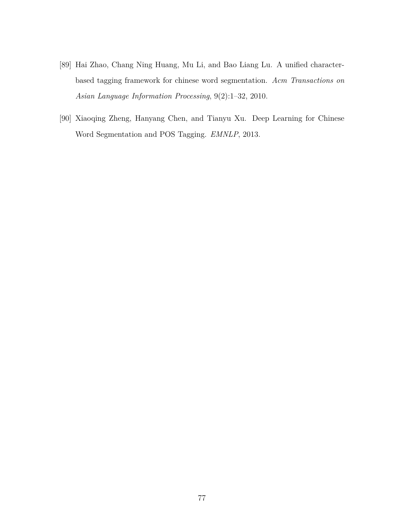- [89] Hai Zhao, Chang Ning Huang, Mu Li, and Bao Liang Lu. A unified characterbased tagging framework for chinese word segmentation. *Acm Transactions on Asian Language Information Processing*, 9(2):1–32, 2010.
- [90] Xiaoqing Zheng, Hanyang Chen, and Tianyu Xu. Deep Learning for Chinese Word Segmentation and POS Tagging. *EMNLP*, 2013.